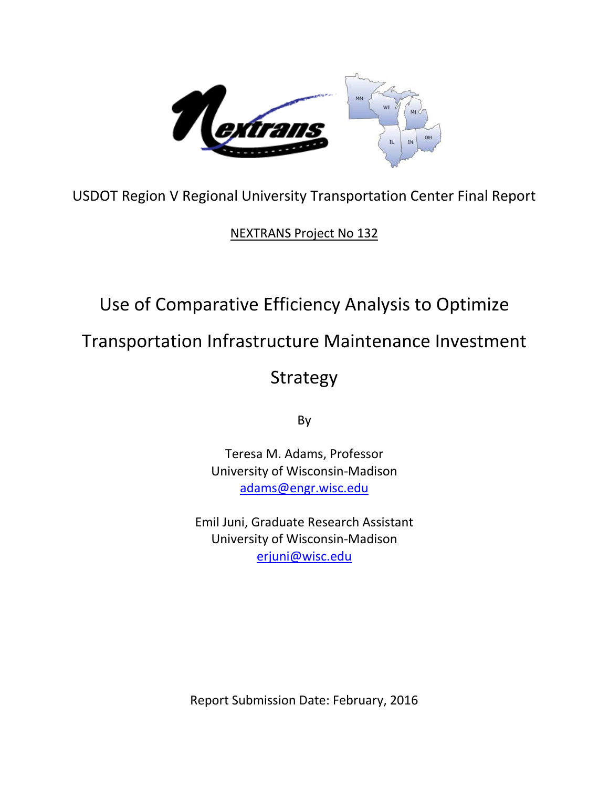

USDOT Region V Regional University Transportation Center Final Report

NEXTRANS Project No 132

# Use of Comparative Efficiency Analysis to Optimize

Transportation Infrastructure Maintenance Investment

Strategy

By

Teresa M. Adams, Professor University of Wisconsin-Madison [adams@engr.wisc.edu](mailto:adams@engr.wisc.edu)

Emil Juni, Graduate Research Assistant University of Wisconsin-Madison [erjuni@wisc.edu](mailto:erjuni@wisc.edu)

Report Submission Date: February, 2016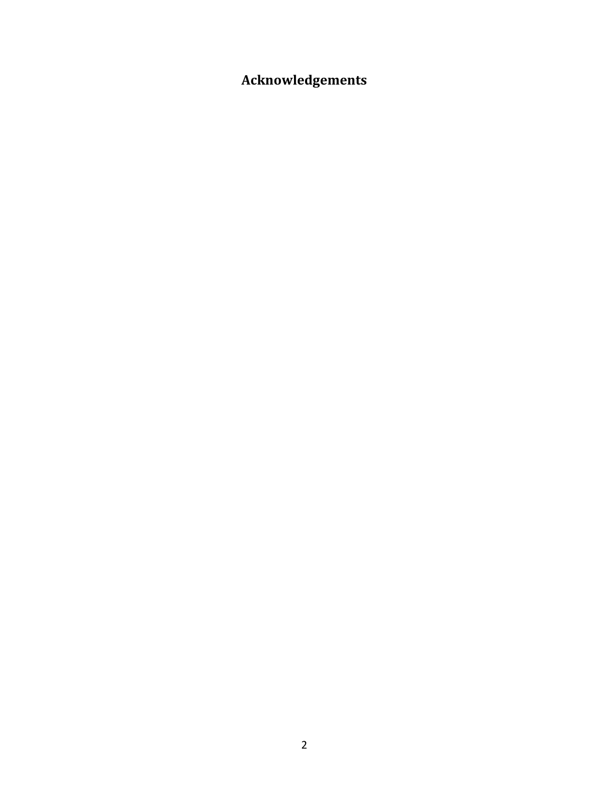<span id="page-1-0"></span>**Acknowledgements**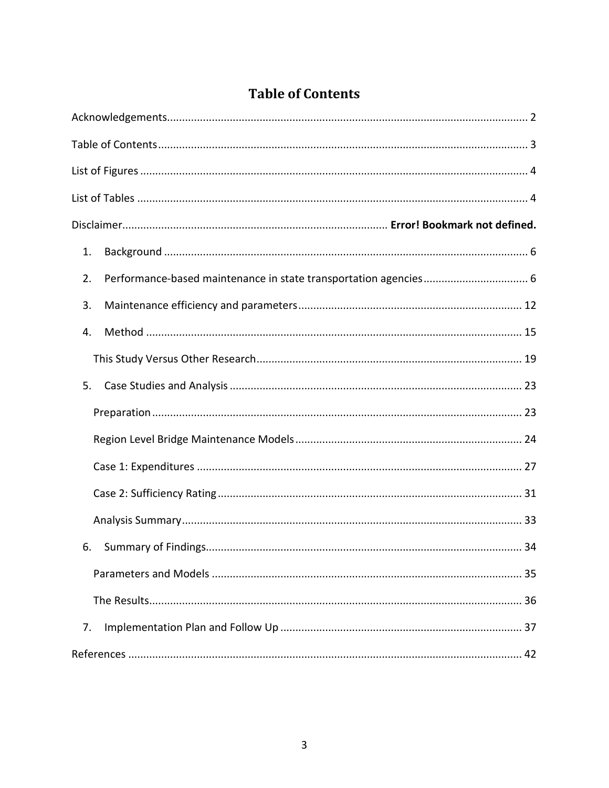### **Table of Contents**

<span id="page-2-0"></span>

| 1. |
|----|
| 2. |
| 3. |
| 4. |
|    |
| 5. |
|    |
|    |
|    |
|    |
|    |
| 6. |
|    |
|    |
| 7. |
|    |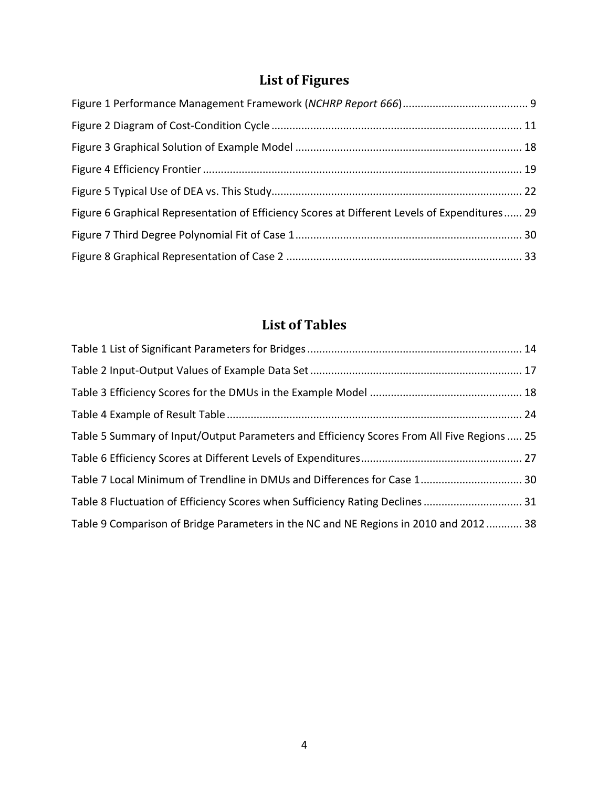## **List of Figures**

<span id="page-3-0"></span>

| Figure 6 Graphical Representation of Efficiency Scores at Different Levels of Expenditures 29 |  |
|-----------------------------------------------------------------------------------------------|--|
|                                                                                               |  |
|                                                                                               |  |

## **List of Tables**

<span id="page-3-1"></span>

| Table 5 Summary of Input/Output Parameters and Efficiency Scores From All Five Regions  25 |  |
|--------------------------------------------------------------------------------------------|--|
|                                                                                            |  |
| Table 7 Local Minimum of Trendline in DMUs and Differences for Case 1 30                   |  |
| Table 8 Fluctuation of Efficiency Scores when Sufficiency Rating Declines 31               |  |
| Table 9 Comparison of Bridge Parameters in the NC and NE Regions in 2010 and 2012 38       |  |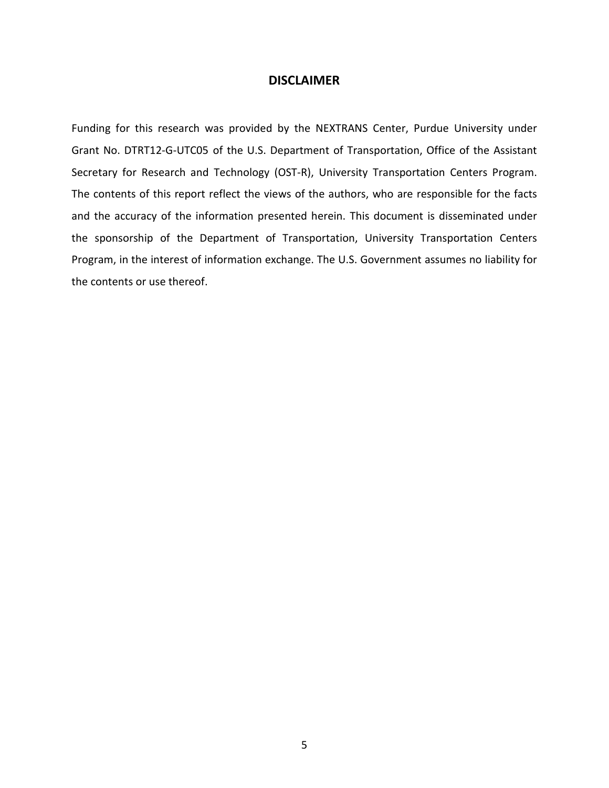#### **DISCLAIMER**

Funding for this research was provided by the NEXTRANS Center, Purdue University under Grant No. DTRT12-G-UTC05 of the U.S. Department of Transportation, Office of the Assistant Secretary for Research and Technology (OST-R), University Transportation Centers Program. The contents of this report reflect the views of the authors, who are responsible for the facts and the accuracy of the information presented herein. This document is disseminated under the sponsorship of the Department of Transportation, University Transportation Centers Program, in the interest of information exchange. The U.S. Government assumes no liability for the contents or use thereof.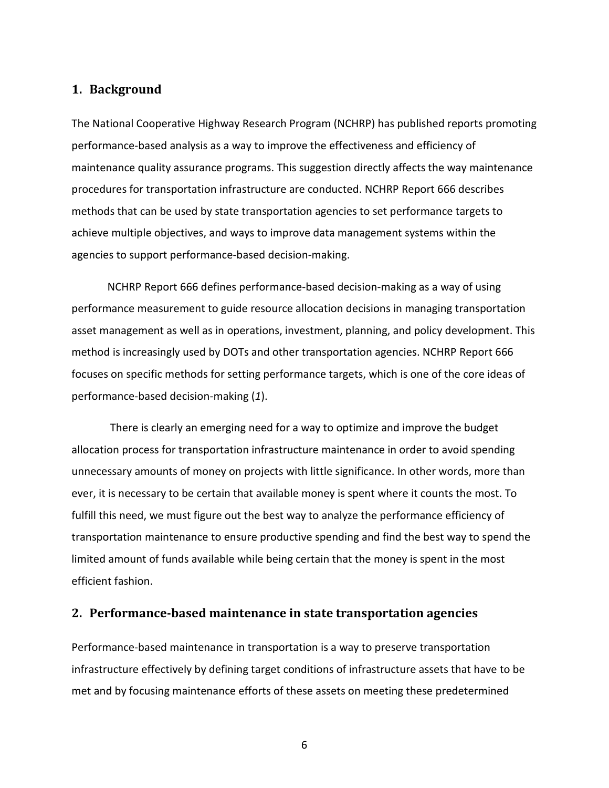#### <span id="page-5-0"></span>**1. Background**

The National Cooperative Highway Research Program (NCHRP) has published reports promoting performance-based analysis as a way to improve the effectiveness and efficiency of maintenance quality assurance programs. This suggestion directly affects the way maintenance procedures for transportation infrastructure are conducted. NCHRP Report 666 describes methods that can be used by state transportation agencies to set performance targets to achieve multiple objectives, and ways to improve data management systems within the agencies to support performance-based decision-making.

NCHRP Report 666 defines performance-based decision-making as a way of using performance measurement to guide resource allocation decisions in managing transportation asset management as well as in operations, investment, planning, and policy development. This method is increasingly used by DOTs and other transportation agencies. NCHRP Report 666 focuses on specific methods for setting performance targets, which is one of the core ideas of performance-based decision-making (*1*).

There is clearly an emerging need for a way to optimize and improve the budget allocation process for transportation infrastructure maintenance in order to avoid spending unnecessary amounts of money on projects with little significance. In other words, more than ever, it is necessary to be certain that available money is spent where it counts the most. To fulfill this need, we must figure out the best way to analyze the performance efficiency of transportation maintenance to ensure productive spending and find the best way to spend the limited amount of funds available while being certain that the money is spent in the most efficient fashion.

#### <span id="page-5-1"></span>**2. Performance-based maintenance in state transportation agencies**

Performance-based maintenance in transportation is a way to preserve transportation infrastructure effectively by defining target conditions of infrastructure assets that have to be met and by focusing maintenance efforts of these assets on meeting these predetermined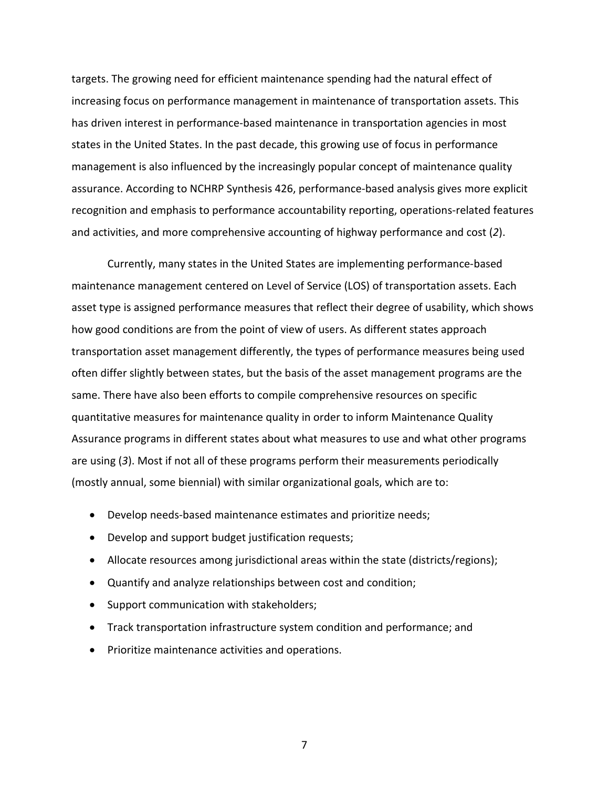targets. The growing need for efficient maintenance spending had the natural effect of increasing focus on performance management in maintenance of transportation assets. This has driven interest in performance-based maintenance in transportation agencies in most states in the United States. In the past decade, this growing use of focus in performance management is also influenced by the increasingly popular concept of maintenance quality assurance. According to NCHRP Synthesis 426, performance-based analysis gives more explicit recognition and emphasis to performance accountability reporting, operations-related features and activities, and more comprehensive accounting of highway performance and cost (*2*).

Currently, many states in the United States are implementing performance-based maintenance management centered on Level of Service (LOS) of transportation assets. Each asset type is assigned performance measures that reflect their degree of usability, which shows how good conditions are from the point of view of users. As different states approach transportation asset management differently, the types of performance measures being used often differ slightly between states, but the basis of the asset management programs are the same. There have also been efforts to compile comprehensive resources on specific quantitative measures for maintenance quality in order to inform Maintenance Quality Assurance programs in different states about what measures to use and what other programs are using (*3*). Most if not all of these programs perform their measurements periodically (mostly annual, some biennial) with similar organizational goals, which are to:

- Develop needs-based maintenance estimates and prioritize needs;
- Develop and support budget justification requests;
- Allocate resources among jurisdictional areas within the state (districts/regions);
- Quantify and analyze relationships between cost and condition;
- Support communication with stakeholders;
- Track transportation infrastructure system condition and performance; and
- Prioritize maintenance activities and operations.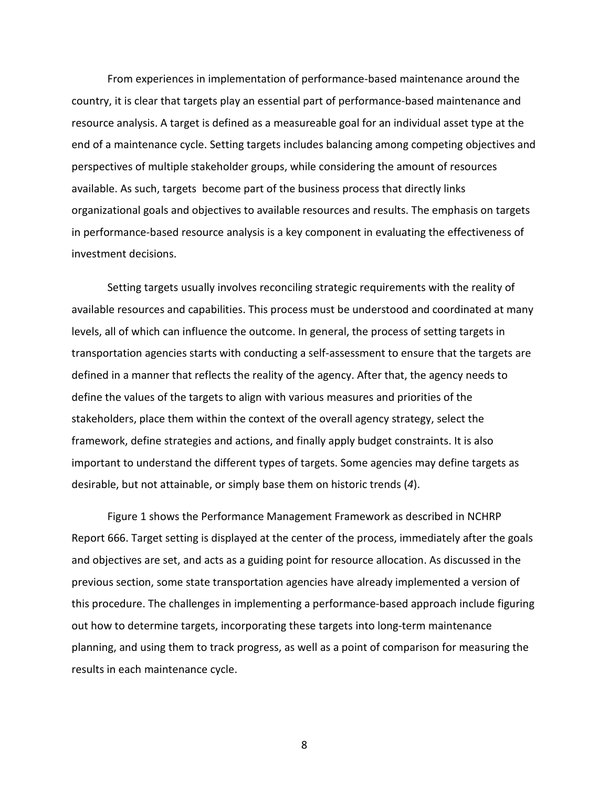From experiences in implementation of performance-based maintenance around the country, it is clear that targets play an essential part of performance-based maintenance and resource analysis. A target is defined as a measureable goal for an individual asset type at the end of a maintenance cycle. Setting targets includes balancing among competing objectives and perspectives of multiple stakeholder groups, while considering the amount of resources available. As such, targets become part of the business process that directly links organizational goals and objectives to available resources and results. The emphasis on targets in performance-based resource analysis is a key component in evaluating the effectiveness of investment decisions.

Setting targets usually involves reconciling strategic requirements with the reality of available resources and capabilities. This process must be understood and coordinated at many levels, all of which can influence the outcome. In general, the process of setting targets in transportation agencies starts with conducting a self-assessment to ensure that the targets are defined in a manner that reflects the reality of the agency. After that, the agency needs to define the values of the targets to align with various measures and priorities of the stakeholders, place them within the context of the overall agency strategy, select the framework, define strategies and actions, and finally apply budget constraints. It is also important to understand the different types of targets. Some agencies may define targets as desirable, but not attainable, or simply base them on historic trends (*4*).

Figure 1 shows the Performance Management Framework as described in NCHRP Report 666. Target setting is displayed at the center of the process, immediately after the goals and objectives are set, and acts as a guiding point for resource allocation. As discussed in the previous section, some state transportation agencies have already implemented a version of this procedure. The challenges in implementing a performance-based approach include figuring out how to determine targets, incorporating these targets into long-term maintenance planning, and using them to track progress, as well as a point of comparison for measuring the results in each maintenance cycle.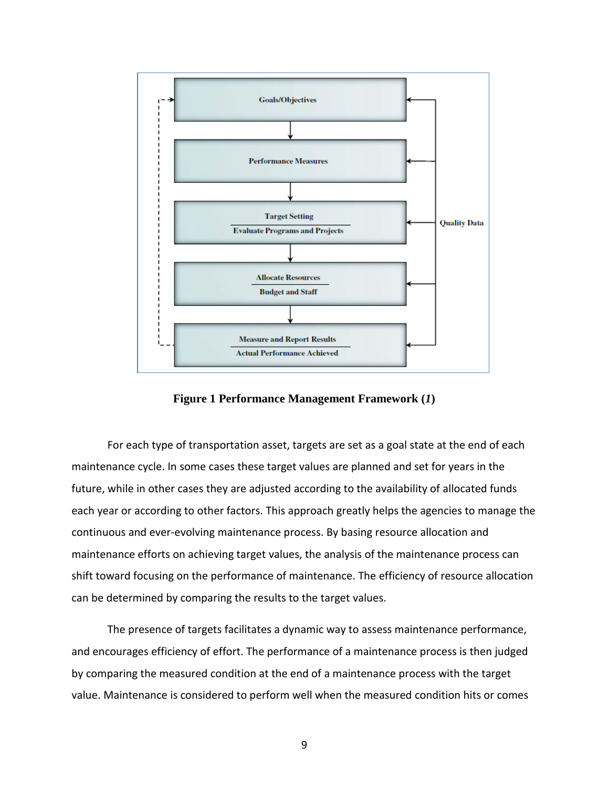

**Figure 1 Performance Management Framework (***1***)**

<span id="page-8-0"></span>For each type of transportation asset, targets are set as a goal state at the end of each maintenance cycle. In some cases these target values are planned and set for years in the future, while in other cases they are adjusted according to the availability of allocated funds each year or according to other factors. This approach greatly helps the agencies to manage the continuous and ever-evolving maintenance process. By basing resource allocation and maintenance efforts on achieving target values, the analysis of the maintenance process can shift toward focusing on the performance of maintenance. The efficiency of resource allocation can be determined by comparing the results to the target values.

The presence of targets facilitates a dynamic way to assess maintenance performance, and encourages efficiency of effort. The performance of a maintenance process is then judged by comparing the measured condition at the end of a maintenance process with the target value. Maintenance is considered to perform well when the measured condition hits or comes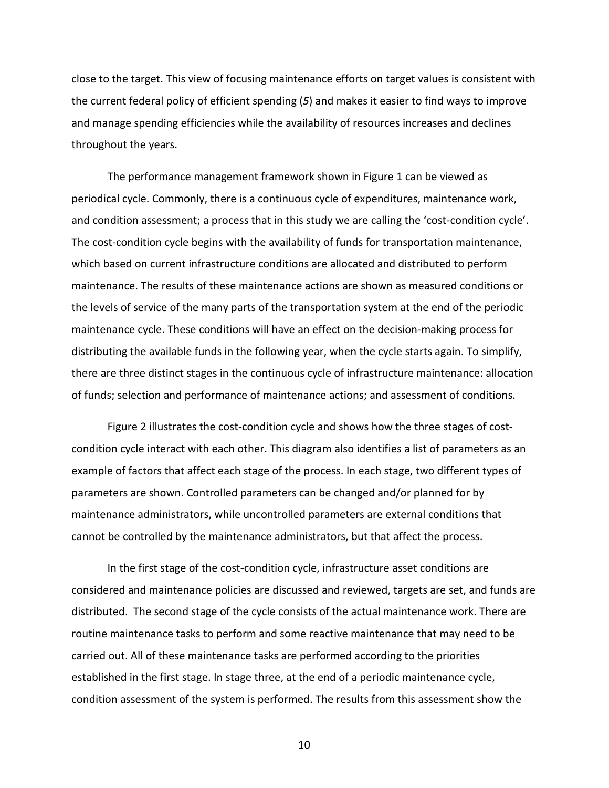close to the target. This view of focusing maintenance efforts on target values is consistent with the current federal policy of efficient spending (*5*) and makes it easier to find ways to improve and manage spending efficiencies while the availability of resources increases and declines throughout the years.

The performance management framework shown in Figure 1 can be viewed as periodical cycle. Commonly, there is a continuous cycle of expenditures, maintenance work, and condition assessment; a process that in this study we are calling the 'cost-condition cycle'. The cost-condition cycle begins with the availability of funds for transportation maintenance, which based on current infrastructure conditions are allocated and distributed to perform maintenance. The results of these maintenance actions are shown as measured conditions or the levels of service of the many parts of the transportation system at the end of the periodic maintenance cycle. These conditions will have an effect on the decision-making process for distributing the available funds in the following year, when the cycle starts again. To simplify, there are three distinct stages in the continuous cycle of infrastructure maintenance: allocation of funds; selection and performance of maintenance actions; and assessment of conditions.

Figure 2 illustrates the cost-condition cycle and shows how the three stages of costcondition cycle interact with each other. This diagram also identifies a list of parameters as an example of factors that affect each stage of the process. In each stage, two different types of parameters are shown. Controlled parameters can be changed and/or planned for by maintenance administrators, while uncontrolled parameters are external conditions that cannot be controlled by the maintenance administrators, but that affect the process.

In the first stage of the cost-condition cycle, infrastructure asset conditions are considered and maintenance policies are discussed and reviewed, targets are set, and funds are distributed. The second stage of the cycle consists of the actual maintenance work. There are routine maintenance tasks to perform and some reactive maintenance that may need to be carried out. All of these maintenance tasks are performed according to the priorities established in the first stage. In stage three, at the end of a periodic maintenance cycle, condition assessment of the system is performed. The results from this assessment show the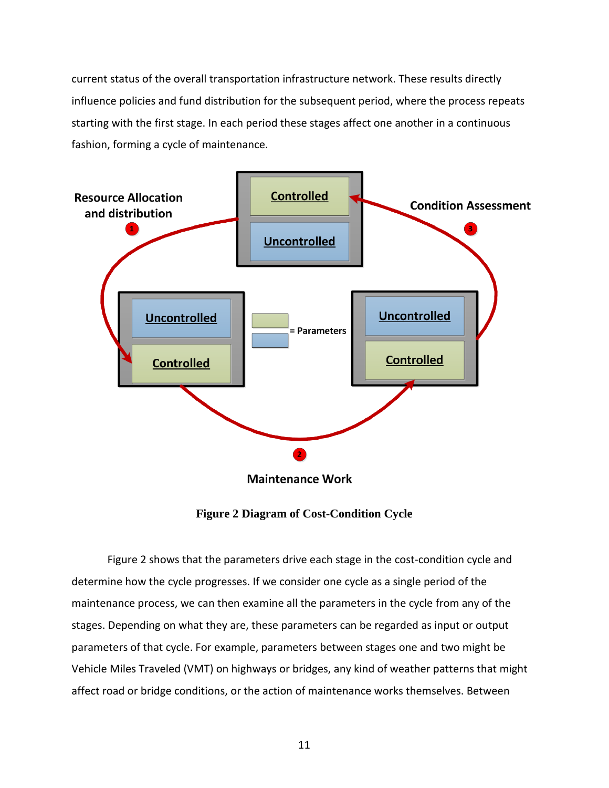current status of the overall transportation infrastructure network. These results directly influence policies and fund distribution for the subsequent period, where the process repeats starting with the first stage. In each period these stages affect one another in a continuous fashion, forming a cycle of maintenance.



**Maintenance Work** 

**Figure 2 Diagram of Cost-Condition Cycle**

<span id="page-10-0"></span>Figure 2 shows that the parameters drive each stage in the cost-condition cycle and determine how the cycle progresses. If we consider one cycle as a single period of the maintenance process, we can then examine all the parameters in the cycle from any of the stages. Depending on what they are, these parameters can be regarded as input or output parameters of that cycle. For example, parameters between stages one and two might be Vehicle Miles Traveled (VMT) on highways or bridges, any kind of weather patterns that might affect road or bridge conditions, or the action of maintenance works themselves. Between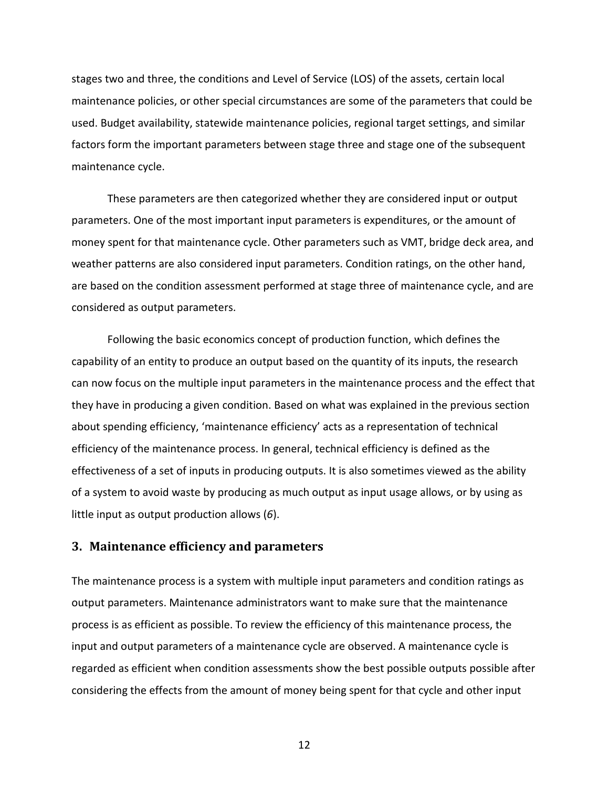stages two and three, the conditions and Level of Service (LOS) of the assets, certain local maintenance policies, or other special circumstances are some of the parameters that could be used. Budget availability, statewide maintenance policies, regional target settings, and similar factors form the important parameters between stage three and stage one of the subsequent maintenance cycle.

These parameters are then categorized whether they are considered input or output parameters. One of the most important input parameters is expenditures, or the amount of money spent for that maintenance cycle. Other parameters such as VMT, bridge deck area, and weather patterns are also considered input parameters. Condition ratings, on the other hand, are based on the condition assessment performed at stage three of maintenance cycle, and are considered as output parameters.

Following the basic economics concept of production function, which defines the capability of an entity to produce an output based on the quantity of its inputs, the research can now focus on the multiple input parameters in the maintenance process and the effect that they have in producing a given condition. Based on what was explained in the previous section about spending efficiency, 'maintenance efficiency' acts as a representation of technical efficiency of the maintenance process. In general, technical efficiency is defined as the effectiveness of a set of inputs in producing outputs. It is also sometimes viewed as the ability of a system to avoid waste by producing as much output as input usage allows, or by using as little input as output production allows (*6*).

#### <span id="page-11-0"></span>**3. Maintenance efficiency and parameters**

The maintenance process is a system with multiple input parameters and condition ratings as output parameters. Maintenance administrators want to make sure that the maintenance process is as efficient as possible. To review the efficiency of this maintenance process, the input and output parameters of a maintenance cycle are observed. A maintenance cycle is regarded as efficient when condition assessments show the best possible outputs possible after considering the effects from the amount of money being spent for that cycle and other input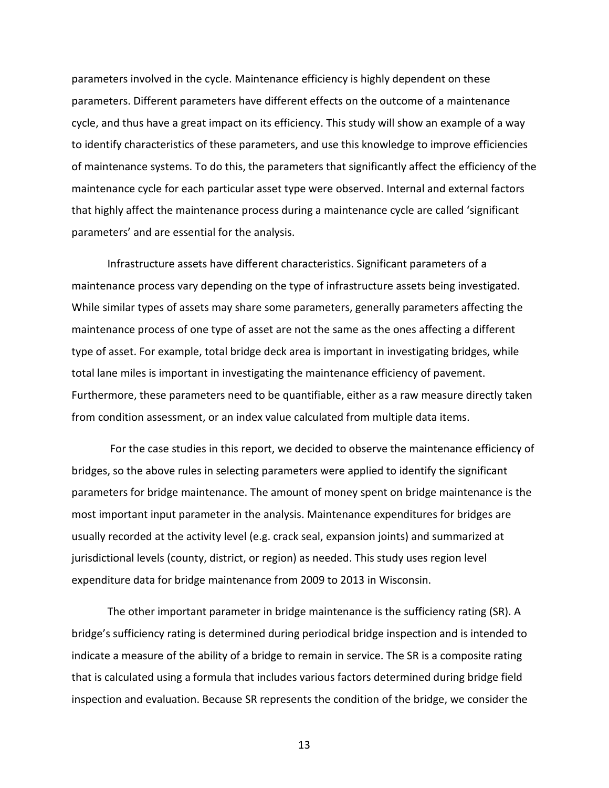parameters involved in the cycle. Maintenance efficiency is highly dependent on these parameters. Different parameters have different effects on the outcome of a maintenance cycle, and thus have a great impact on its efficiency. This study will show an example of a way to identify characteristics of these parameters, and use this knowledge to improve efficiencies of maintenance systems. To do this, the parameters that significantly affect the efficiency of the maintenance cycle for each particular asset type were observed. Internal and external factors that highly affect the maintenance process during a maintenance cycle are called 'significant parameters' and are essential for the analysis.

Infrastructure assets have different characteristics. Significant parameters of a maintenance process vary depending on the type of infrastructure assets being investigated. While similar types of assets may share some parameters, generally parameters affecting the maintenance process of one type of asset are not the same as the ones affecting a different type of asset. For example, total bridge deck area is important in investigating bridges, while total lane miles is important in investigating the maintenance efficiency of pavement. Furthermore, these parameters need to be quantifiable, either as a raw measure directly taken from condition assessment, or an index value calculated from multiple data items.

For the case studies in this report, we decided to observe the maintenance efficiency of bridges, so the above rules in selecting parameters were applied to identify the significant parameters for bridge maintenance. The amount of money spent on bridge maintenance is the most important input parameter in the analysis. Maintenance expenditures for bridges are usually recorded at the activity level (e.g. crack seal, expansion joints) and summarized at jurisdictional levels (county, district, or region) as needed. This study uses region level expenditure data for bridge maintenance from 2009 to 2013 in Wisconsin.

The other important parameter in bridge maintenance is the sufficiency rating (SR). A bridge's sufficiency rating is determined during periodical bridge inspection and is intended to indicate a measure of the ability of a bridge to remain in service. The SR is a composite rating that is calculated using a formula that includes various factors determined during bridge field inspection and evaluation. Because SR represents the condition of the bridge, we consider the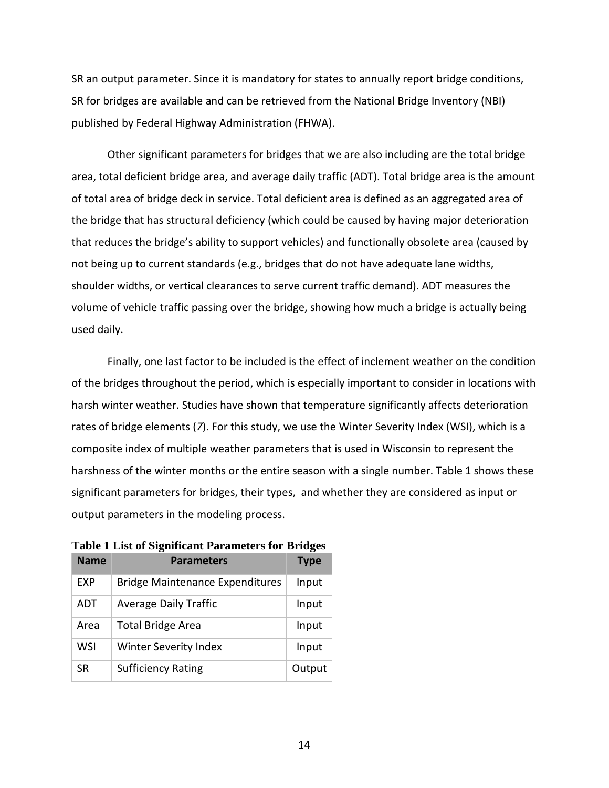SR an output parameter. Since it is mandatory for states to annually report bridge conditions, SR for bridges are available and can be retrieved from the National Bridge Inventory (NBI) published by Federal Highway Administration (FHWA).

Other significant parameters for bridges that we are also including are the total bridge area, total deficient bridge area, and average daily traffic (ADT). Total bridge area is the amount of total area of bridge deck in service. Total deficient area is defined as an aggregated area of the bridge that has structural deficiency (which could be caused by having major deterioration that reduces the bridge's ability to support vehicles) and functionally obsolete area (caused by not being up to current standards (e.g., bridges that do not have adequate lane widths, shoulder widths, or vertical clearances to serve current traffic demand). ADT measures the volume of vehicle traffic passing over the bridge, showing how much a bridge is actually being used daily.

Finally, one last factor to be included is the effect of inclement weather on the condition of the bridges throughout the period, which is especially important to consider in locations with harsh winter weather. Studies have shown that temperature significantly affects deterioration rates of bridge elements (*7*). For this study, we use the Winter Severity Index (WSI), which is a composite index of multiple weather parameters that is used in Wisconsin to represent the harshness of the winter months or the entire season with a single number. Table 1 shows these significant parameters for bridges, their types, and whether they are considered as input or output parameters in the modeling process.

| <b>Name</b> | <b>Parameters</b>                      | <b>Type</b> |
|-------------|----------------------------------------|-------------|
| <b>EXP</b>  | <b>Bridge Maintenance Expenditures</b> | Input       |
| ADT         | <b>Average Daily Traffic</b>           | Input       |
| Area        | <b>Total Bridge Area</b>               | Input       |
| WSI         | <b>Winter Severity Index</b>           | Input       |
| <b>SR</b>   | <b>Sufficiency Rating</b>              | Output      |

<span id="page-13-0"></span>**Table 1 List of Significant Parameters for Bridges**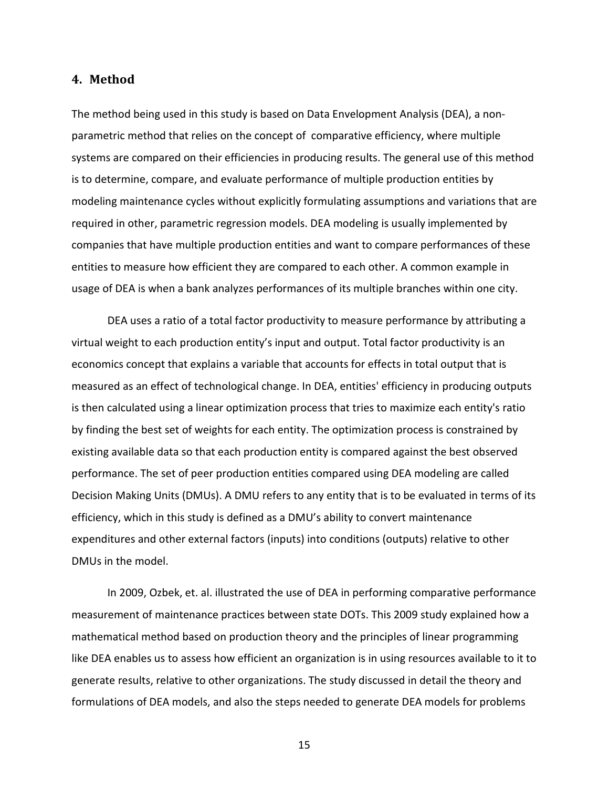#### <span id="page-14-0"></span>**4. Method**

The method being used in this study is based on Data Envelopment Analysis (DEA), a nonparametric method that relies on the concept of comparative efficiency, where multiple systems are compared on their efficiencies in producing results. The general use of this method is to determine, compare, and evaluate performance of multiple production entities by modeling maintenance cycles without explicitly formulating assumptions and variations that are required in other, parametric regression models. DEA modeling is usually implemented by companies that have multiple production entities and want to compare performances of these entities to measure how efficient they are compared to each other. A common example in usage of DEA is when a bank analyzes performances of its multiple branches within one city.

DEA uses a ratio of a total factor productivity to measure performance by attributing a virtual weight to each production entity's input and output. Total factor productivity is an economics concept that explains a variable that accounts for effects in total output that is measured as an effect of technological change. In DEA, entities' efficiency in producing outputs is then calculated using a linear optimization process that tries to maximize each entity's ratio by finding the best set of weights for each entity. The optimization process is constrained by existing available data so that each production entity is compared against the best observed performance. The set of peer production entities compared using DEA modeling are called Decision Making Units (DMUs). A DMU refers to any entity that is to be evaluated in terms of its efficiency, which in this study is defined as a DMU's ability to convert maintenance expenditures and other external factors (inputs) into conditions (outputs) relative to other DMUs in the model.

In 2009, Ozbek, et. al. illustrated the use of DEA in performing comparative performance measurement of maintenance practices between state DOTs. This 2009 study explained how a mathematical method based on production theory and the principles of linear programming like DEA enables us to assess how efficient an organization is in using resources available to it to generate results, relative to other organizations. The study discussed in detail the theory and formulations of DEA models, and also the steps needed to generate DEA models for problems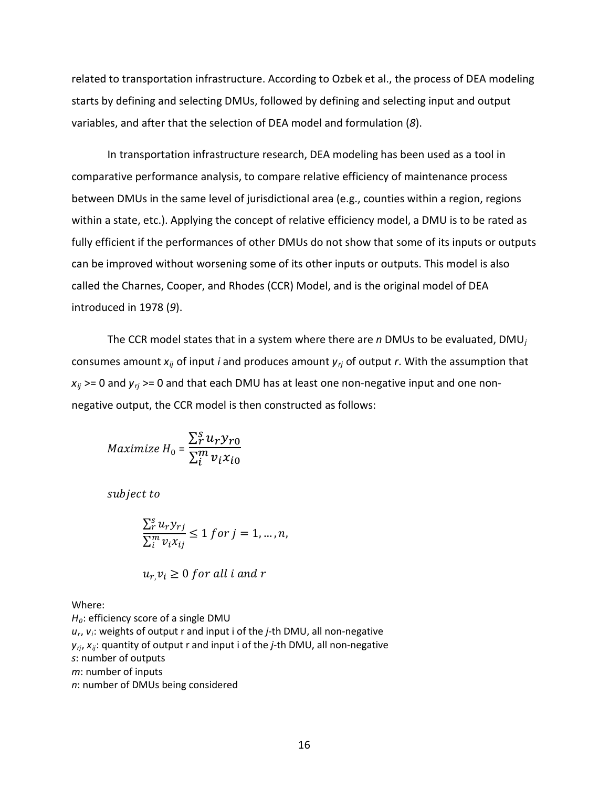related to transportation infrastructure. According to Ozbek et al., the process of DEA modeling starts by defining and selecting DMUs, followed by defining and selecting input and output variables, and after that the selection of DEA model and formulation (*8*).

In transportation infrastructure research, DEA modeling has been used as a tool in comparative performance analysis, to compare relative efficiency of maintenance process between DMUs in the same level of jurisdictional area (e.g., counties within a region, regions within a state, etc.). Applying the concept of relative efficiency model, a DMU is to be rated as fully efficient if the performances of other DMUs do not show that some of its inputs or outputs can be improved without worsening some of its other inputs or outputs. This model is also called the Charnes, Cooper, and Rhodes (CCR) Model, and is the original model of DEA introduced in 1978 (*9*).

The CCR model states that in a system where there are *n* DMUs to be evaluated, DMU*<sup>j</sup>* consumes amount *xij* of input *i* and produces amount *yrj* of output *r*. With the assumption that  $x_{ij}$  >= 0 and  $y_{ij}$  >= 0 and that each DMU has at least one non-negative input and one nonnegative output, the CCR model is then constructed as follows:

$$
Maximize H_0 = \frac{\sum_{r}^{s} u_r y_{r0}}{\sum_{i}^{m} v_i x_{i0}}
$$

subject to

$$
\frac{\sum_{r}^{s} u_{r} y_{rj}}{\sum_{i}^{m} v_{i} x_{ij}} \le 1 \text{ for } j = 1, \dots, n,
$$

$$
u_r, v_i \ge 0 \text{ for all } i \text{ and } r
$$

Where:

*H0*: efficiency score of a single DMU *ur*, *vi*: weights of output r and input i of the *j*-th DMU, all non-negative *yrj*, *xij*: quantity of output r and input i of the *j*-th DMU, all non-negative *s*: number of outputs *m*: number of inputs *n*: number of DMUs being considered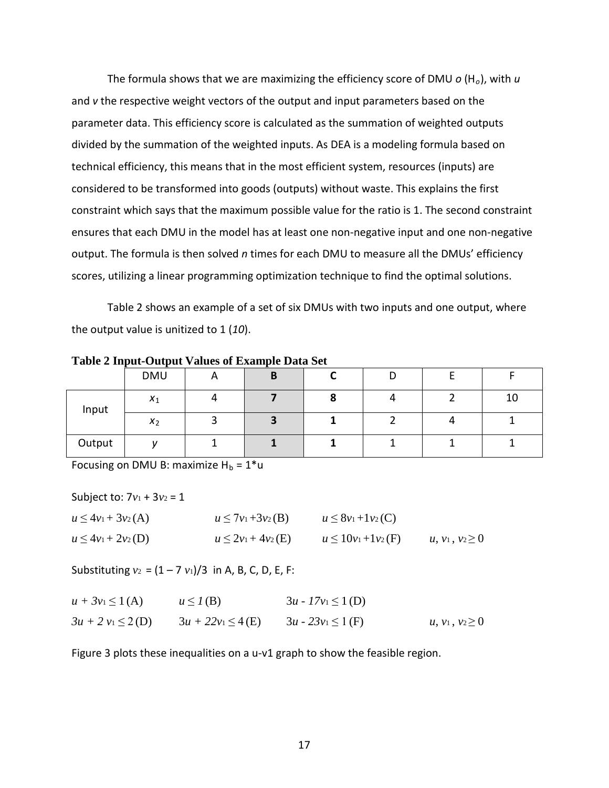The formula shows that we are maximizing the efficiency score of DMU *o* (H*o*), with *u* and *v* the respective weight vectors of the output and input parameters based on the parameter data. This efficiency score is calculated as the summation of weighted outputs divided by the summation of the weighted inputs. As DEA is a modeling formula based on technical efficiency, this means that in the most efficient system, resources (inputs) are considered to be transformed into goods (outputs) without waste. This explains the first constraint which says that the maximum possible value for the ratio is 1. The second constraint ensures that each DMU in the model has at least one non-negative input and one non-negative output. The formula is then solved *n* times for each DMU to measure all the DMUs' efficiency scores, utilizing a linear programming optimization technique to find the optimal solutions.

Table 2 shows an example of a set of six DMUs with two inputs and one output, where the output value is unitized to 1 (*10*).

| $     -$ |            |  |   |  |  |  |    |
|----------|------------|--|---|--|--|--|----|
|          | <b>DMU</b> |  | B |  |  |  |    |
| Input    | $x_1$      |  |   |  |  |  | 10 |
|          | $x_2$      |  |   |  |  |  |    |
| Output   |            |  |   |  |  |  |    |

<span id="page-16-0"></span>**Table 2 Input-Output Values of Example Data Set**

Focusing on DMU B: maximize  $H_b = 1^*u$ 

Subject to:  $7v_1 + 3v_2 = 1$ 

$$
u \le 4v_1 + 3v_2(A) \qquad u \le 7v_1 + 3v_2(B) \qquad u \le 8v_1 + 1v_2(C)
$$
  

$$
u \le 4v_1 + 2v_2(D) \qquad u \le 2v_1 + 4v_2(E) \qquad u \le 10v_1 + 1v_2(F) \qquad u, v_1, v_2 \ge 0
$$

Substituting  $v_2 = (1 - 7 v_1)/3$  in A, B, C, D, E, F:

| $u + 3v_1 \leq 1(A)$  | $u \leq I(B)$          | $3u - 17v_1 \le 1$ (D) |                      |
|-----------------------|------------------------|------------------------|----------------------|
| $3u + 2v_1 \leq 2(D)$ | $3u + 22v_1 \leq 4(E)$ | $3u - 23v_1 \le 1$ (F) | $u, v_1, v_2 \geq 0$ |

Figure 3 plots these inequalities on a u-v1 graph to show the feasible region.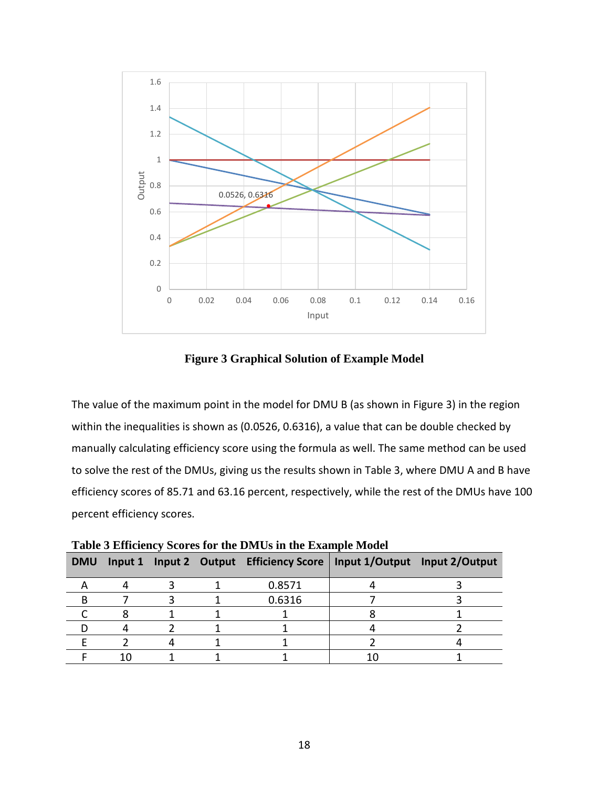

**Figure 3 Graphical Solution of Example Model**

<span id="page-17-0"></span>The value of the maximum point in the model for DMU B (as shown in Figure 3) in the region within the inequalities is shown as (0.0526, 0.6316), a value that can be double checked by manually calculating efficiency score using the formula as well. The same method can be used to solve the rest of the DMUs, giving us the results shown in Table 3, where DMU A and B have efficiency scores of 85.71 and 63.16 percent, respectively, while the rest of the DMUs have 100 percent efficiency scores.

| Table 5 Emicroney Beores for the Divids in the Example broach |  |  |  |                                         |  |                               |  |  |
|---------------------------------------------------------------|--|--|--|-----------------------------------------|--|-------------------------------|--|--|
| <b>DMU</b>                                                    |  |  |  | Input 1 Input 2 Output Efficiency Score |  | Input 1/Output Input 2/Output |  |  |
|                                                               |  |  |  | 0.8571                                  |  |                               |  |  |
|                                                               |  |  |  | 0.6316                                  |  |                               |  |  |
|                                                               |  |  |  |                                         |  |                               |  |  |
|                                                               |  |  |  |                                         |  |                               |  |  |
|                                                               |  |  |  |                                         |  |                               |  |  |
|                                                               |  |  |  |                                         |  |                               |  |  |

<span id="page-17-1"></span>**Table 3 Efficiency Scores for the DMUs in the Example Model**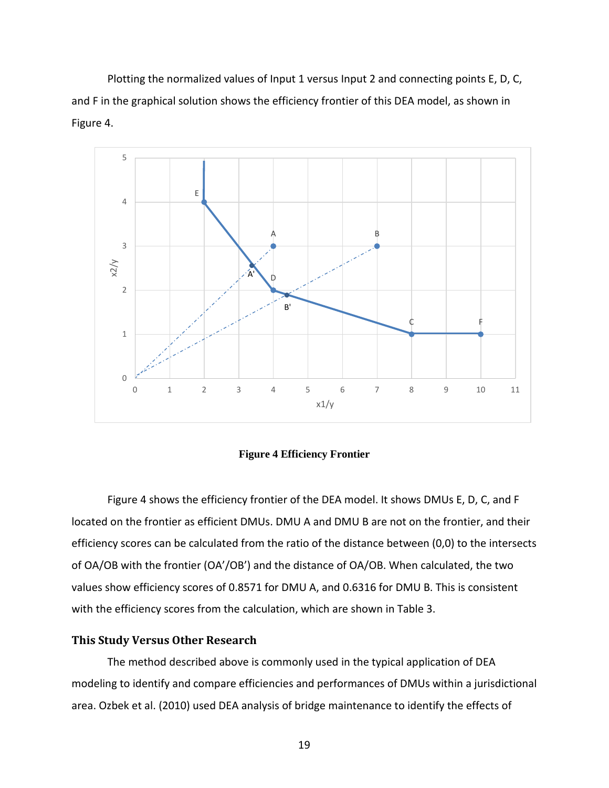Plotting the normalized values of Input 1 versus Input 2 and connecting points E, D, C, and F in the graphical solution shows the efficiency frontier of this DEA model, as shown in Figure 4.



**Figure 4 Efficiency Frontier**

<span id="page-18-1"></span>Figure 4 shows the efficiency frontier of the DEA model. It shows DMUs E, D, C, and F located on the frontier as efficient DMUs. DMU A and DMU B are not on the frontier, and their efficiency scores can be calculated from the ratio of the distance between (0,0) to the intersects of OA/OB with the frontier (OA'/OB') and the distance of OA/OB. When calculated, the two values show efficiency scores of 0.8571 for DMU A, and 0.6316 for DMU B. This is consistent with the efficiency scores from the calculation, which are shown in Table 3.

#### <span id="page-18-0"></span>**This Study Versus Other Research**

The method described above is commonly used in the typical application of DEA modeling to identify and compare efficiencies and performances of DMUs within a jurisdictional area. Ozbek et al. (2010) used DEA analysis of bridge maintenance to identify the effects of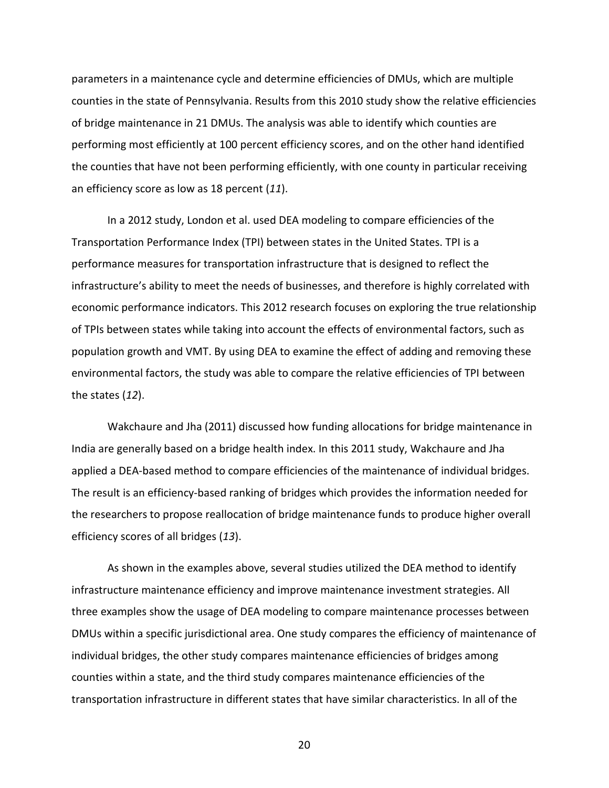parameters in a maintenance cycle and determine efficiencies of DMUs, which are multiple counties in the state of Pennsylvania. Results from this 2010 study show the relative efficiencies of bridge maintenance in 21 DMUs. The analysis was able to identify which counties are performing most efficiently at 100 percent efficiency scores, and on the other hand identified the counties that have not been performing efficiently, with one county in particular receiving an efficiency score as low as 18 percent (*11*).

In a 2012 study, London et al. used DEA modeling to compare efficiencies of the Transportation Performance Index (TPI) between states in the United States. TPI is a performance measures for transportation infrastructure that is designed to reflect the infrastructure's ability to meet the needs of businesses, and therefore is highly correlated with economic performance indicators. This 2012 research focuses on exploring the true relationship of TPIs between states while taking into account the effects of environmental factors, such as population growth and VMT. By using DEA to examine the effect of adding and removing these environmental factors, the study was able to compare the relative efficiencies of TPI between the states (*12*).

Wakchaure and Jha (2011) discussed how funding allocations for bridge maintenance in India are generally based on a bridge health index. In this 2011 study, Wakchaure and Jha applied a DEA-based method to compare efficiencies of the maintenance of individual bridges. The result is an efficiency-based ranking of bridges which provides the information needed for the researchers to propose reallocation of bridge maintenance funds to produce higher overall efficiency scores of all bridges (*13*).

As shown in the examples above, several studies utilized the DEA method to identify infrastructure maintenance efficiency and improve maintenance investment strategies. All three examples show the usage of DEA modeling to compare maintenance processes between DMUs within a specific jurisdictional area. One study compares the efficiency of maintenance of individual bridges, the other study compares maintenance efficiencies of bridges among counties within a state, and the third study compares maintenance efficiencies of the transportation infrastructure in different states that have similar characteristics. In all of the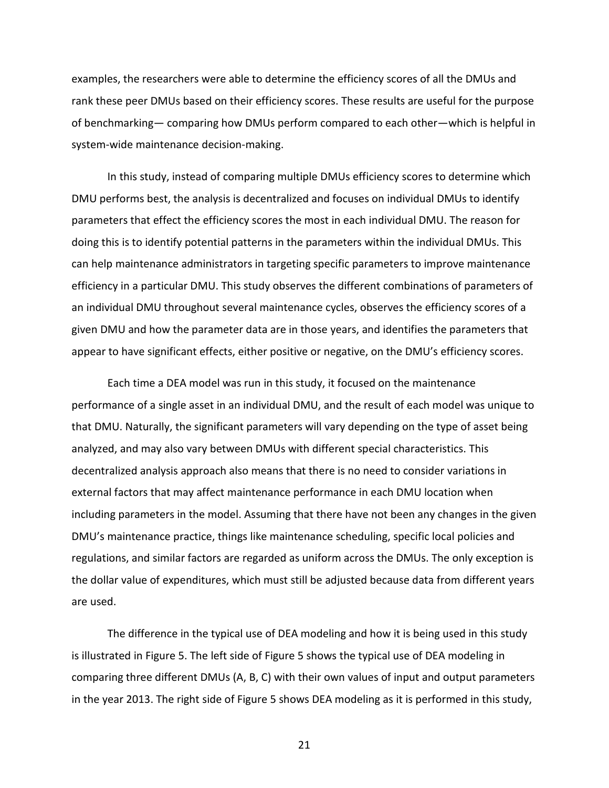examples, the researchers were able to determine the efficiency scores of all the DMUs and rank these peer DMUs based on their efficiency scores. These results are useful for the purpose of benchmarking— comparing how DMUs perform compared to each other—which is helpful in system-wide maintenance decision-making.

In this study, instead of comparing multiple DMUs efficiency scores to determine which DMU performs best, the analysis is decentralized and focuses on individual DMUs to identify parameters that effect the efficiency scores the most in each individual DMU. The reason for doing this is to identify potential patterns in the parameters within the individual DMUs. This can help maintenance administrators in targeting specific parameters to improve maintenance efficiency in a particular DMU. This study observes the different combinations of parameters of an individual DMU throughout several maintenance cycles, observes the efficiency scores of a given DMU and how the parameter data are in those years, and identifies the parameters that appear to have significant effects, either positive or negative, on the DMU's efficiency scores.

Each time a DEA model was run in this study, it focused on the maintenance performance of a single asset in an individual DMU, and the result of each model was unique to that DMU. Naturally, the significant parameters will vary depending on the type of asset being analyzed, and may also vary between DMUs with different special characteristics. This decentralized analysis approach also means that there is no need to consider variations in external factors that may affect maintenance performance in each DMU location when including parameters in the model. Assuming that there have not been any changes in the given DMU's maintenance practice, things like maintenance scheduling, specific local policies and regulations, and similar factors are regarded as uniform across the DMUs. The only exception is the dollar value of expenditures, which must still be adjusted because data from different years are used.

The difference in the typical use of DEA modeling and how it is being used in this study is illustrated in Figure 5. The left side of Figure 5 shows the typical use of DEA modeling in comparing three different DMUs (A, B, C) with their own values of input and output parameters in the year 2013. The right side of Figure 5 shows DEA modeling as it is performed in this study,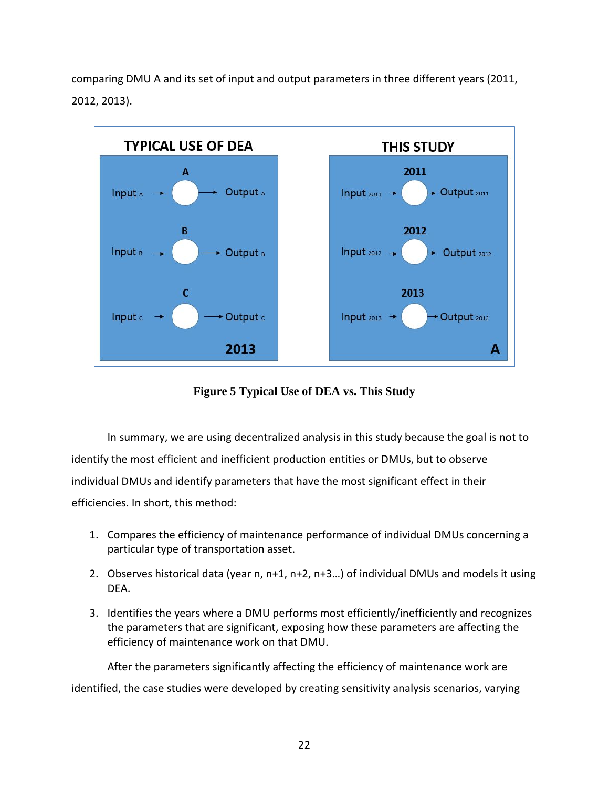comparing DMU A and its set of input and output parameters in three different years (2011, 2012, 2013).



**Figure 5 Typical Use of DEA vs. This Study**

<span id="page-21-0"></span>In summary, we are using decentralized analysis in this study because the goal is not to identify the most efficient and inefficient production entities or DMUs, but to observe individual DMUs and identify parameters that have the most significant effect in their efficiencies. In short, this method:

- 1. Compares the efficiency of maintenance performance of individual DMUs concerning a particular type of transportation asset.
- 2. Observes historical data (year n, n+1, n+2, n+3…) of individual DMUs and models it using DEA.
- 3. Identifies the years where a DMU performs most efficiently/inefficiently and recognizes the parameters that are significant, exposing how these parameters are affecting the efficiency of maintenance work on that DMU.

After the parameters significantly affecting the efficiency of maintenance work are identified, the case studies were developed by creating sensitivity analysis scenarios, varying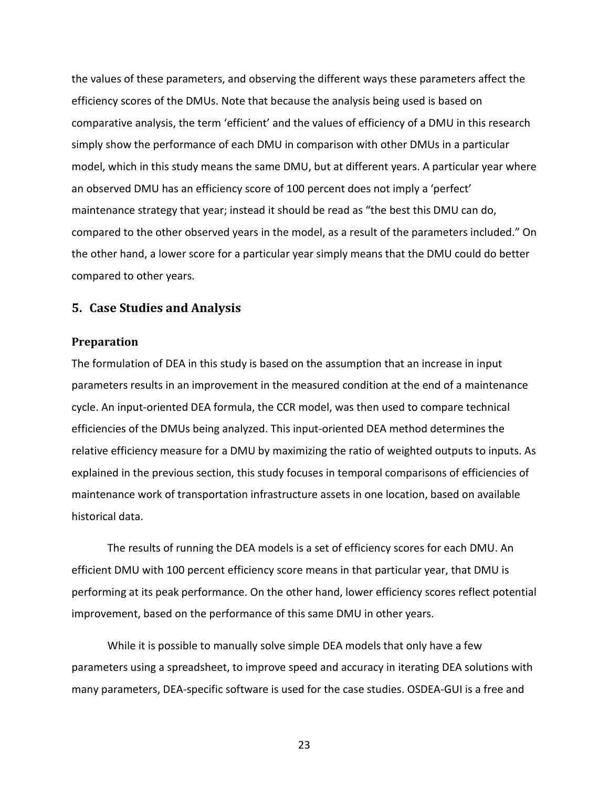the values of these parameters, and observing the different ways these parameters affect the efficiency scores of the DMUs. Note that because the analysis being used is based on comparative analysis, the term 'efficient' and the values of efficiency of a DMU in this research simply show the performance of each DMU in comparison with other DMUs in a particular model, which in this study means the same DMU, but at different years. A particular year where an observed DMU has an efficiency score of 100 percent does not imply a 'perfect' maintenance strategy that year; instead it should be read as "the best this DMU can do, compared to the other observed years in the model, as a result of the parameters included." On the other hand, a lower score for a particular year simply means that the DMU could do better compared to other years.

#### <span id="page-22-0"></span>**5. Case Studies and Analysis**

#### <span id="page-22-1"></span>**Preparation**

The formulation of DEA in this study is based on the assumption that an increase in input parameters results in an improvement in the measured condition at the end of a maintenance cycle. An input-oriented DEA formula, the CCR model, was then used to compare technical efficiencies of the DMUs being analyzed. This input-oriented DEA method determines the relative efficiency measure for a DMU by maximizing the ratio of weighted outputs to inputs. As explained in the previous section, this study focuses in temporal comparisons of efficiencies of maintenance work of transportation infrastructure assets in one location, based on available historical data.

The results of running the DEA models is a set of efficiency scores for each DMU. An efficient DMU with 100 percent efficiency score means in that particular year, that DMU is performing at its peak performance. On the other hand, lower efficiency scores reflect potential improvement, based on the performance of this same DMU in other years.

While it is possible to manually solve simple DEA models that only have a few parameters using a spreadsheet, to improve speed and accuracy in iterating DEA solutions with many parameters, DEA-specific software is used for the case studies. OSDEA-GUI is a free and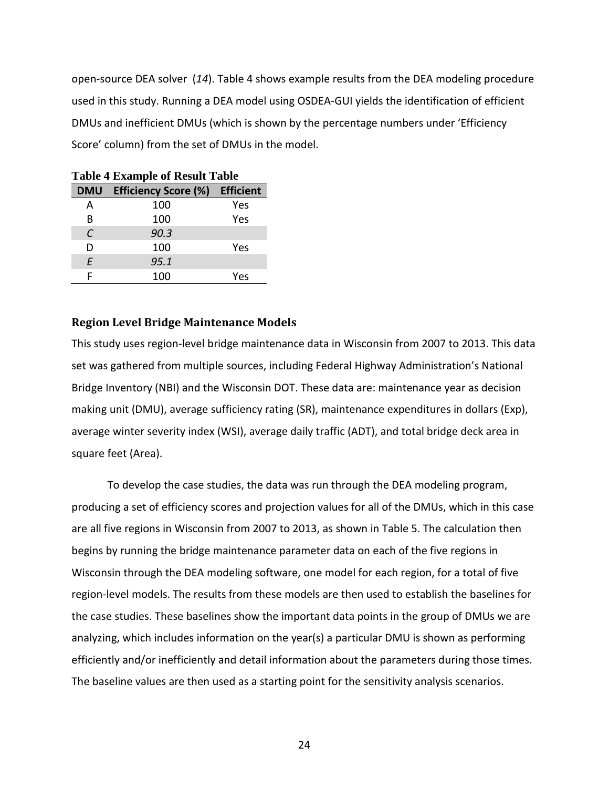open-source DEA solver (*14*). Table 4 shows example results from the DEA modeling procedure used in this study. Running a DEA model using OSDEA-GUI yields the identification of efficient DMUs and inefficient DMUs (which is shown by the percentage numbers under 'Efficiency Score' column) from the set of DMUs in the model.

| Table 4 Example of Result Table |                                    |     |  |  |  |  |
|---------------------------------|------------------------------------|-----|--|--|--|--|
|                                 | DMU Efficiency Score (%) Efficient |     |  |  |  |  |
| А                               | 100                                | Yes |  |  |  |  |
| B                               | 100                                | Yes |  |  |  |  |
| C                               | 90.3                               |     |  |  |  |  |
| D                               | 100                                | Yes |  |  |  |  |
| E                               | 95.1                               |     |  |  |  |  |
| F                               | 100                                | Yes |  |  |  |  |

<span id="page-23-1"></span>**Table 4 Example of Result Table** 

#### <span id="page-23-0"></span>**Region Level Bridge Maintenance Models**

This study uses region-level bridge maintenance data in Wisconsin from 2007 to 2013. This data set was gathered from multiple sources, including Federal Highway Administration's National Bridge Inventory (NBI) and the Wisconsin DOT. These data are: maintenance year as decision making unit (DMU), average sufficiency rating (SR), maintenance expenditures in dollars (Exp), average winter severity index (WSI), average daily traffic (ADT), and total bridge deck area in square feet (Area).

To develop the case studies, the data was run through the DEA modeling program, producing a set of efficiency scores and projection values for all of the DMUs, which in this case are all five regions in Wisconsin from 2007 to 2013, as shown in Table 5. The calculation then begins by running the bridge maintenance parameter data on each of the five regions in Wisconsin through the DEA modeling software, one model for each region, for a total of five region-level models. The results from these models are then used to establish the baselines for the case studies. These baselines show the important data points in the group of DMUs we are analyzing, which includes information on the year(s) a particular DMU is shown as performing efficiently and/or inefficiently and detail information about the parameters during those times. The baseline values are then used as a starting point for the sensitivity analysis scenarios.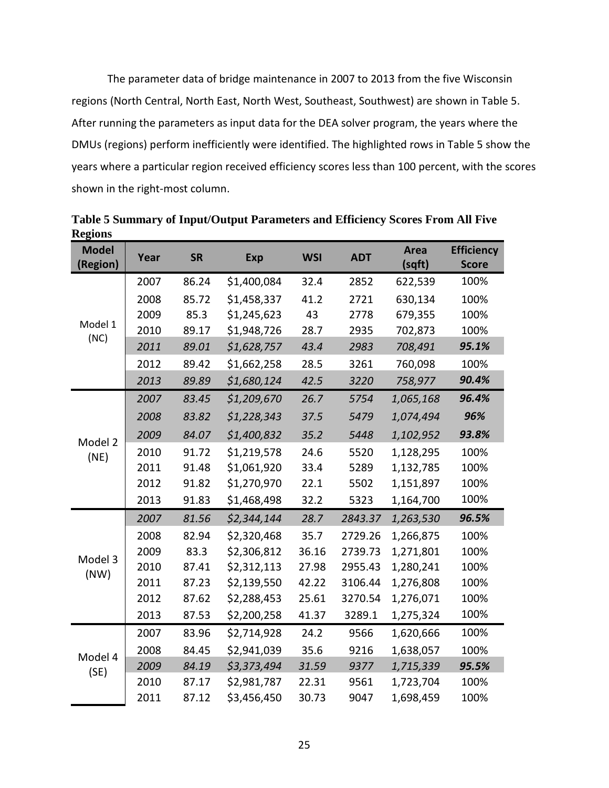The parameter data of bridge maintenance in 2007 to 2013 from the five Wisconsin regions (North Central, North East, North West, Southeast, Southwest) are shown in Table 5. After running the parameters as input data for the DEA solver program, the years where the DMUs (regions) perform inefficiently were identified. The highlighted rows in Table 5 show the years where a particular region received efficiency scores less than 100 percent, with the scores shown in the right-most column.

| <b>Model</b><br>(Region) | Year | <b>SR</b> | <b>Exp</b>  | <b>WSI</b> | <b>ADT</b> | Area<br>(sqft) | <b>Efficiency</b><br><b>Score</b> |
|--------------------------|------|-----------|-------------|------------|------------|----------------|-----------------------------------|
|                          | 2007 | 86.24     | \$1,400,084 | 32.4       | 2852       | 622,539        | 100%                              |
|                          | 2008 | 85.72     | \$1,458,337 | 41.2       | 2721       | 630,134        | 100%                              |
|                          | 2009 | 85.3      | \$1,245,623 | 43         | 2778       | 679,355        | 100%                              |
| Model 1<br>(NC)          | 2010 | 89.17     | \$1,948,726 | 28.7       | 2935       | 702,873        | 100%                              |
|                          | 2011 | 89.01     | \$1,628,757 | 43.4       | 2983       | 708,491        | 95.1%                             |
|                          | 2012 | 89.42     | \$1,662,258 | 28.5       | 3261       | 760,098        | 100%                              |
|                          | 2013 | 89.89     | \$1,680,124 | 42.5       | 3220       | 758,977        | 90.4%                             |
|                          | 2007 | 83.45     | \$1,209,670 | 26.7       | 5754       | 1,065,168      | 96.4%                             |
|                          | 2008 | 83.82     | \$1,228,343 | 37.5       | 5479       | 1,074,494      | 96%                               |
| Model 2                  | 2009 | 84.07     | \$1,400,832 | 35.2       | 5448       | 1,102,952      | 93.8%                             |
| (NE)                     | 2010 | 91.72     | \$1,219,578 | 24.6       | 5520       | 1,128,295      | 100%                              |
|                          | 2011 | 91.48     | \$1,061,920 | 33.4       | 5289       | 1,132,785      | 100%                              |
|                          | 2012 | 91.82     | \$1,270,970 | 22.1       | 5502       | 1,151,897      | 100%                              |
|                          | 2013 | 91.83     | \$1,468,498 | 32.2       | 5323       | 1,164,700      | 100%                              |
|                          | 2007 | 81.56     | \$2,344,144 | 28.7       | 2843.37    | 1,263,530      | 96.5%                             |
|                          | 2008 | 82.94     | \$2,320,468 | 35.7       | 2729.26    | 1,266,875      | 100%                              |
| Model 3                  | 2009 | 83.3      | \$2,306,812 | 36.16      | 2739.73    | 1,271,801      | 100%                              |
| (NW)                     | 2010 | 87.41     | \$2,312,113 | 27.98      | 2955.43    | 1,280,241      | 100%                              |
|                          | 2011 | 87.23     | \$2,139,550 | 42.22      | 3106.44    | 1,276,808      | 100%                              |
|                          | 2012 | 87.62     | \$2,288,453 | 25.61      | 3270.54    | 1,276,071      | 100%                              |
|                          | 2013 | 87.53     | \$2,200,258 | 41.37      | 3289.1     | 1,275,324      | 100%                              |
|                          | 2007 | 83.96     | \$2,714,928 | 24.2       | 9566       | 1,620,666      | 100%                              |
| Model 4                  | 2008 | 84.45     | \$2,941,039 | 35.6       | 9216       | 1,638,057      | 100%                              |
| (SE)                     | 2009 | 84.19     | \$3,373,494 | 31.59      | 9377       | 1,715,339      | 95.5%                             |
|                          | 2010 | 87.17     | \$2,981,787 | 22.31      | 9561       | 1,723,704      | 100%                              |
|                          | 2011 | 87.12     | \$3,456,450 | 30.73      | 9047       | 1,698,459      | 100%                              |

<span id="page-24-0"></span>**Table 5 Summary of Input/Output Parameters and Efficiency Scores From All Five Regions**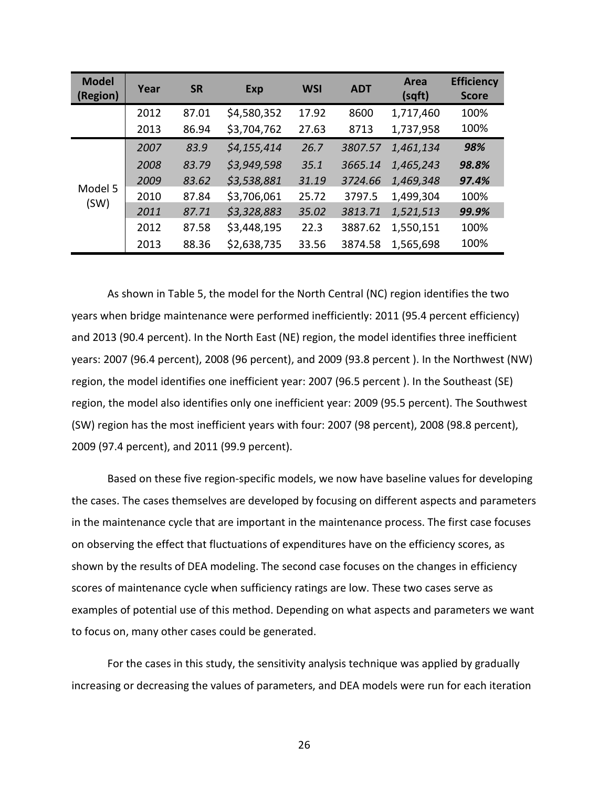| <b>Model</b><br>(Region) | Year | <b>SR</b> | <b>Exp</b>  | <b>WSI</b> | <b>ADT</b> | Area<br>(sqft) | <b>Efficiency</b><br><b>Score</b> |
|--------------------------|------|-----------|-------------|------------|------------|----------------|-----------------------------------|
|                          | 2012 | 87.01     | \$4,580,352 | 17.92      | 8600       | 1,717,460      | 100%                              |
|                          | 2013 | 86.94     | \$3,704,762 | 27.63      | 8713       | 1,737,958      | 100%                              |
|                          | 2007 | 83.9      | \$4,155,414 | 26.7       | 3807.57    | 1,461,134      | 98%                               |
| Model 5<br>(SW)          | 2008 | 83.79     | \$3,949,598 | 35.1       | 3665.14    | 1,465,243      | 98.8%                             |
|                          | 2009 | 83.62     | \$3,538,881 | 31.19      | 3724.66    | 1,469,348      | 97.4%                             |
|                          | 2010 | 87.84     | \$3,706,061 | 25.72      | 3797.5     | 1,499,304      | 100%                              |
|                          | 2011 | 87.71     | \$3,328,883 | 35.02      | 3813.71    | 1,521,513      | 99.9%                             |
|                          | 2012 | 87.58     | \$3,448,195 | 22.3       | 3887.62    | 1,550,151      | 100%                              |
|                          | 2013 | 88.36     | \$2,638,735 | 33.56      | 3874.58    | 1,565,698      | 100%                              |

As shown in Table 5, the model for the North Central (NC) region identifies the two years when bridge maintenance were performed inefficiently: 2011 (95.4 percent efficiency) and 2013 (90.4 percent). In the North East (NE) region, the model identifies three inefficient years: 2007 (96.4 percent), 2008 (96 percent), and 2009 (93.8 percent ). In the Northwest (NW) region, the model identifies one inefficient year: 2007 (96.5 percent ). In the Southeast (SE) region, the model also identifies only one inefficient year: 2009 (95.5 percent). The Southwest (SW) region has the most inefficient years with four: 2007 (98 percent), 2008 (98.8 percent), 2009 (97.4 percent), and 2011 (99.9 percent).

Based on these five region-specific models, we now have baseline values for developing the cases. The cases themselves are developed by focusing on different aspects and parameters in the maintenance cycle that are important in the maintenance process. The first case focuses on observing the effect that fluctuations of expenditures have on the efficiency scores, as shown by the results of DEA modeling. The second case focuses on the changes in efficiency scores of maintenance cycle when sufficiency ratings are low. These two cases serve as examples of potential use of this method. Depending on what aspects and parameters we want to focus on, many other cases could be generated.

For the cases in this study, the sensitivity analysis technique was applied by gradually increasing or decreasing the values of parameters, and DEA models were run for each iteration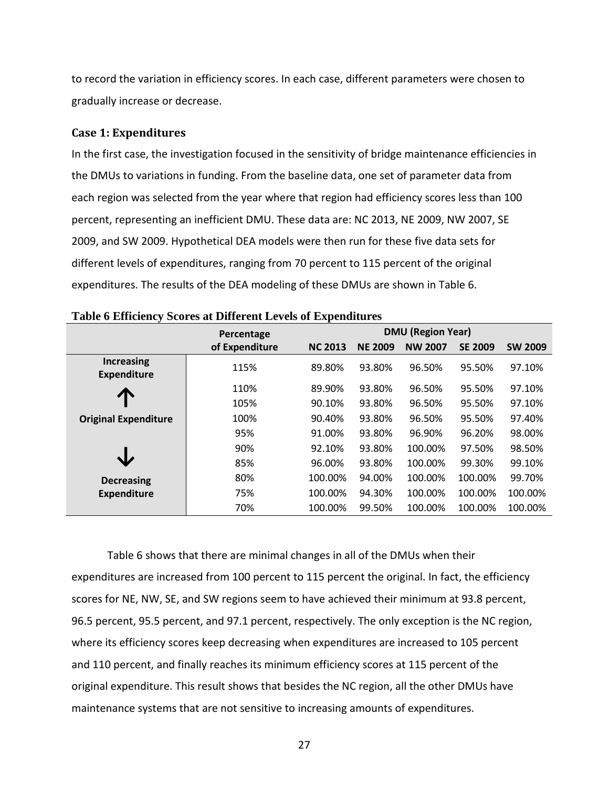to record the variation in efficiency scores. In each case, different parameters were chosen to gradually increase or decrease.

#### <span id="page-26-0"></span>**Case 1: Expenditures**

In the first case, the investigation focused in the sensitivity of bridge maintenance efficiencies in the DMUs to variations in funding. From the baseline data, one set of parameter data from each region was selected from the year where that region had efficiency scores less than 100 percent, representing an inefficient DMU. These data are: NC 2013, NE 2009, NW 2007, SE 2009, and SW 2009. Hypothetical DEA models were then run for these five data sets for different levels of expenditures, ranging from 70 percent to 115 percent of the original expenditures. The results of the DEA modeling of these DMUs are shown in Table 6.

|                                         | Percentage     |                | <b>DMU (Region Year)</b> |                |                |                |
|-----------------------------------------|----------------|----------------|--------------------------|----------------|----------------|----------------|
|                                         | of Expenditure | <b>NC 2013</b> | <b>NE 2009</b>           | <b>NW 2007</b> | <b>SE 2009</b> | <b>SW 2009</b> |
| <b>Increasing</b><br><b>Expenditure</b> | 115%           | 89.80%         | 93.80%                   | 96.50%         | 95.50%         | 97.10%         |
|                                         | 110%           | 89.90%         | 93.80%                   | 96.50%         | 95.50%         | 97.10%         |
|                                         | 105%           | 90.10%         | 93.80%                   | 96.50%         | 95.50%         | 97.10%         |
| <b>Original Expenditure</b>             | 100%           | 90.40%         | 93.80%                   | 96.50%         | 95.50%         | 97.40%         |
|                                         | 95%            | 91.00%         | 93.80%                   | 96.90%         | 96.20%         | 98.00%         |
|                                         | 90%            | 92.10%         | 93.80%                   | 100.00%        | 97.50%         | 98.50%         |
|                                         | 85%            | 96.00%         | 93.80%                   | 100.00%        | 99.30%         | 99.10%         |
| <b>Decreasing</b>                       | 80%            | 100.00%        | 94.00%                   | 100.00%        | 100.00%        | 99.70%         |
| <b>Expenditure</b>                      | 75%            | 100.00%        | 94.30%                   | 100.00%        | 100.00%        | 100.00%        |
|                                         | 70%            | 100.00%        | 99.50%                   | 100.00%        | 100.00%        | 100.00%        |

<span id="page-26-1"></span>

|  |  |  |  |  | Table 6 Efficiency Scores at Different Levels of Expenditures |
|--|--|--|--|--|---------------------------------------------------------------|
|--|--|--|--|--|---------------------------------------------------------------|

Table 6 shows that there are minimal changes in all of the DMUs when their expenditures are increased from 100 percent to 115 percent the original. In fact, the efficiency scores for NE, NW, SE, and SW regions seem to have achieved their minimum at 93.8 percent, 96.5 percent, 95.5 percent, and 97.1 percent, respectively. The only exception is the NC region, where its efficiency scores keep decreasing when expenditures are increased to 105 percent and 110 percent, and finally reaches its minimum efficiency scores at 115 percent of the original expenditure. This result shows that besides the NC region, all the other DMUs have maintenance systems that are not sensitive to increasing amounts of expenditures.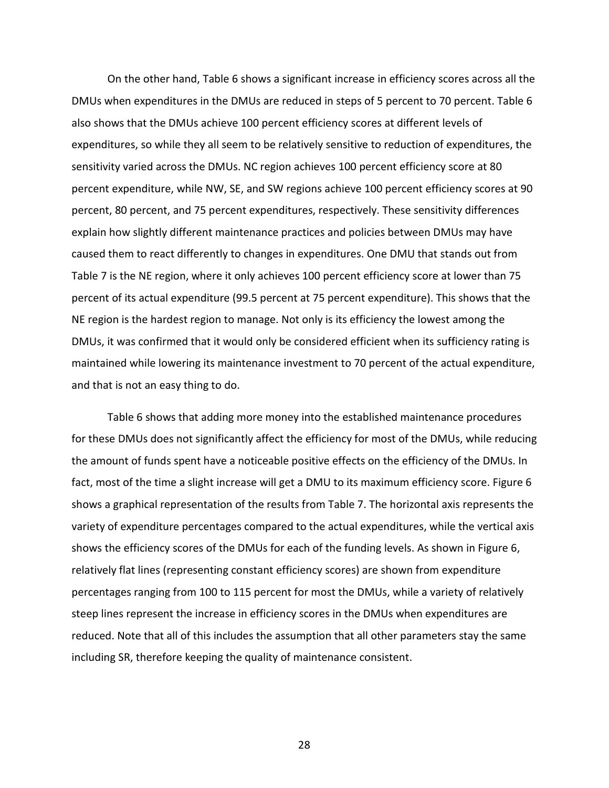On the other hand, Table 6 shows a significant increase in efficiency scores across all the DMUs when expenditures in the DMUs are reduced in steps of 5 percent to 70 percent. Table 6 also shows that the DMUs achieve 100 percent efficiency scores at different levels of expenditures, so while they all seem to be relatively sensitive to reduction of expenditures, the sensitivity varied across the DMUs. NC region achieves 100 percent efficiency score at 80 percent expenditure, while NW, SE, and SW regions achieve 100 percent efficiency scores at 90 percent, 80 percent, and 75 percent expenditures, respectively. These sensitivity differences explain how slightly different maintenance practices and policies between DMUs may have caused them to react differently to changes in expenditures. One DMU that stands out from Table 7 is the NE region, where it only achieves 100 percent efficiency score at lower than 75 percent of its actual expenditure (99.5 percent at 75 percent expenditure). This shows that the NE region is the hardest region to manage. Not only is its efficiency the lowest among the DMUs, it was confirmed that it would only be considered efficient when its sufficiency rating is maintained while lowering its maintenance investment to 70 percent of the actual expenditure, and that is not an easy thing to do.

Table 6 shows that adding more money into the established maintenance procedures for these DMUs does not significantly affect the efficiency for most of the DMUs, while reducing the amount of funds spent have a noticeable positive effects on the efficiency of the DMUs. In fact, most of the time a slight increase will get a DMU to its maximum efficiency score. Figure 6 shows a graphical representation of the results from Table 7. The horizontal axis represents the variety of expenditure percentages compared to the actual expenditures, while the vertical axis shows the efficiency scores of the DMUs for each of the funding levels. As shown in Figure 6, relatively flat lines (representing constant efficiency scores) are shown from expenditure percentages ranging from 100 to 115 percent for most the DMUs, while a variety of relatively steep lines represent the increase in efficiency scores in the DMUs when expenditures are reduced. Note that all of this includes the assumption that all other parameters stay the same including SR, therefore keeping the quality of maintenance consistent.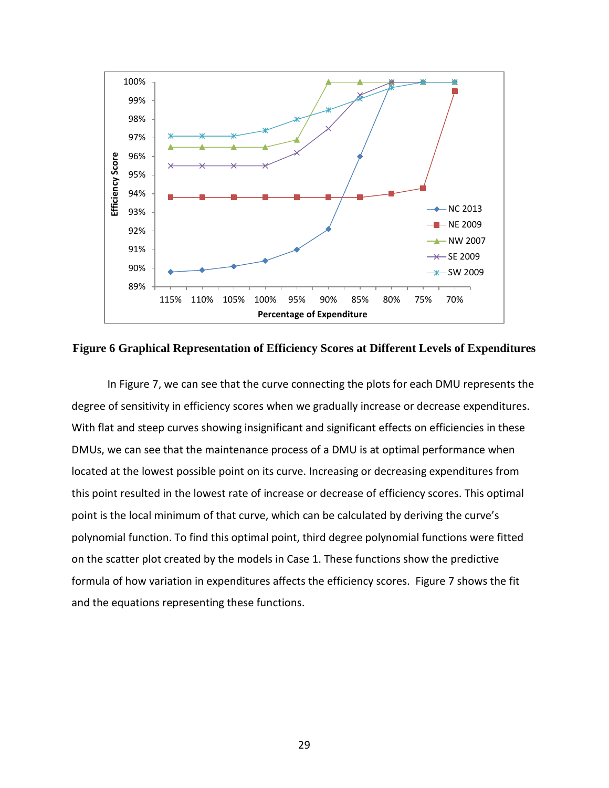

<span id="page-28-0"></span>**Figure 6 Graphical Representation of Efficiency Scores at Different Levels of Expenditures**

In Figure 7, we can see that the curve connecting the plots for each DMU represents the degree of sensitivity in efficiency scores when we gradually increase or decrease expenditures. With flat and steep curves showing insignificant and significant effects on efficiencies in these DMUs, we can see that the maintenance process of a DMU is at optimal performance when located at the lowest possible point on its curve. Increasing or decreasing expenditures from this point resulted in the lowest rate of increase or decrease of efficiency scores. This optimal point is the local minimum of that curve, which can be calculated by deriving the curve's polynomial function. To find this optimal point, third degree polynomial functions were fitted on the scatter plot created by the models in Case 1. These functions show the predictive formula of how variation in expenditures affects the efficiency scores. Figure 7 shows the fit and the equations representing these functions.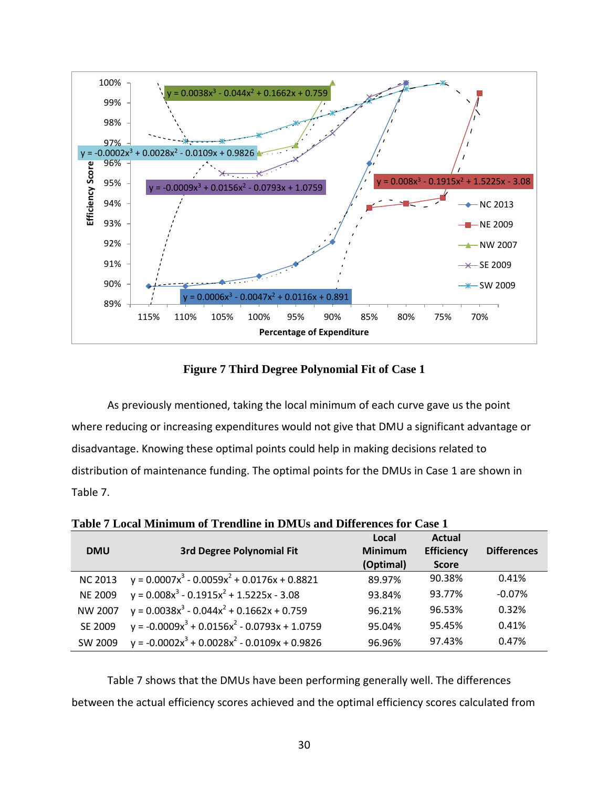

**Figure 7 Third Degree Polynomial Fit of Case 1**

<span id="page-29-0"></span>As previously mentioned, taking the local minimum of each curve gave us the point where reducing or increasing expenditures would not give that DMU a significant advantage or disadvantage. Knowing these optimal points could help in making decisions related to distribution of maintenance funding. The optimal points for the DMUs in Case 1 are shown in Table 7.

| <b>DMU</b>     | <b>3rd Degree Polynomial Fit</b>                    | Local<br><b>Minimum</b><br>(Optimal) | Actual<br><b>Efficiency</b><br><b>Score</b> | <b>Differences</b> |
|----------------|-----------------------------------------------------|--------------------------------------|---------------------------------------------|--------------------|
| <b>NC 2013</b> | $y = 0.0007x^{3} - 0.0059x^{2} + 0.0176x + 0.8821$  | 89.97%                               | 90.38%                                      | 0.41%              |
| <b>NE 2009</b> | $y = 0.008x^{3} - 0.1915x^{2} + 1.5225x - 3.08$     | 93.84%                               | 93.77%                                      | $-0.07%$           |
| <b>NW 2007</b> | $y = 0.0038x^{3} - 0.044x^{2} + 0.1662x + 0.759$    | 96.21%                               | 96.53%                                      | 0.32%              |
| SE 2009        | $y = -0.0009x^{3} + 0.0156x^{2} - 0.0793x + 1.0759$ | 95.04%                               | 95.45%                                      | 0.41%              |
| SW 2009        | $y = -0.0002x^{3} + 0.0028x^{2} - 0.0109x + 0.9826$ | 96.96%                               | 97.43%                                      | 0.47%              |

<span id="page-29-1"></span>**Table 7 Local Minimum of Trendline in DMUs and Differences for Case 1**

Table 7 shows that the DMUs have been performing generally well. The differences between the actual efficiency scores achieved and the optimal efficiency scores calculated from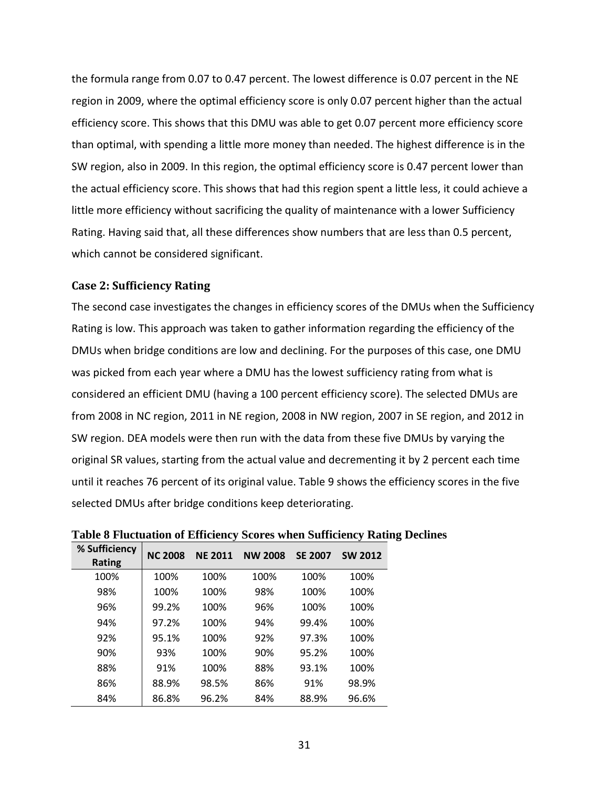the formula range from 0.07 to 0.47 percent. The lowest difference is 0.07 percent in the NE region in 2009, where the optimal efficiency score is only 0.07 percent higher than the actual efficiency score. This shows that this DMU was able to get 0.07 percent more efficiency score than optimal, with spending a little more money than needed. The highest difference is in the SW region, also in 2009. In this region, the optimal efficiency score is 0.47 percent lower than the actual efficiency score. This shows that had this region spent a little less, it could achieve a little more efficiency without sacrificing the quality of maintenance with a lower Sufficiency Rating. Having said that, all these differences show numbers that are less than 0.5 percent, which cannot be considered significant.

#### <span id="page-30-0"></span>**Case 2: Sufficiency Rating**

The second case investigates the changes in efficiency scores of the DMUs when the Sufficiency Rating is low. This approach was taken to gather information regarding the efficiency of the DMUs when bridge conditions are low and declining. For the purposes of this case, one DMU was picked from each year where a DMU has the lowest sufficiency rating from what is considered an efficient DMU (having a 100 percent efficiency score). The selected DMUs are from 2008 in NC region, 2011 in NE region, 2008 in NW region, 2007 in SE region, and 2012 in SW region. DEA models were then run with the data from these five DMUs by varying the original SR values, starting from the actual value and decrementing it by 2 percent each time until it reaches 76 percent of its original value. Table 9 shows the efficiency scores in the five selected DMUs after bridge conditions keep deteriorating.

| % Sufficiency<br><b>Rating</b> | <b>NC 2008</b> | <b>NE 2011</b> | <b>NW 2008</b> | <b>SE 2007</b> | <b>SW 2012</b> |
|--------------------------------|----------------|----------------|----------------|----------------|----------------|
| 100%                           | 100%           | 100%           | 100%           | 100%           | 100%           |
| 98%                            | 100%           | 100%           | 98%            | 100%           | 100%           |
| 96%                            | 99.2%          | 100%           | 96%            | 100%           | 100%           |
| 94%                            | 97.2%          | 100%           | 94%            | 99.4%          | 100%           |
| 92%                            | 95.1%          | 100%           | 92%            | 97.3%          | 100%           |
| 90%                            | 93%            | 100%           | 90%            | 95.2%          | 100%           |
| 88%                            | 91%            | 100%           | 88%            | 93.1%          | 100%           |
| 86%                            | 88.9%          | 98.5%          | 86%            | 91%            | 98.9%          |
| 84%                            | 86.8%          | 96.2%          | 84%            | 88.9%          | 96.6%          |

<span id="page-30-1"></span>**Table 8 Fluctuation of Efficiency Scores when Sufficiency Rating Declines**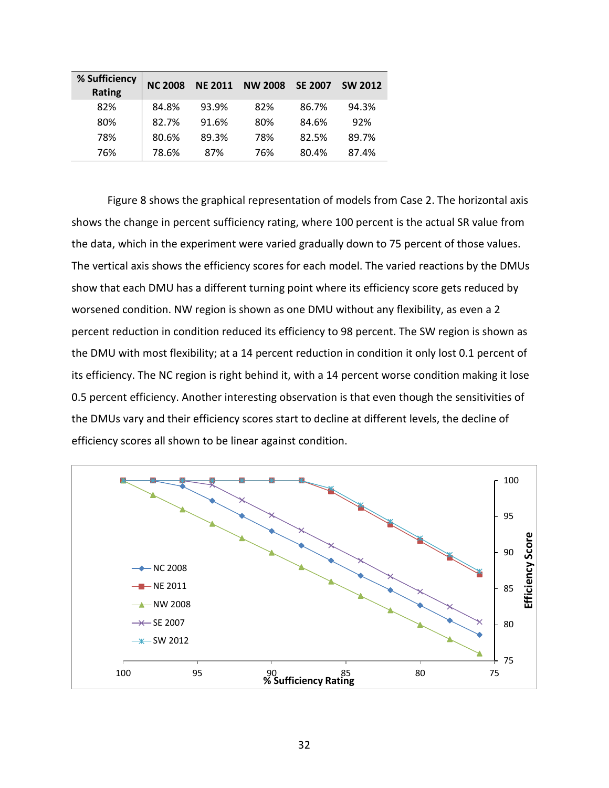| % Sufficiency<br><b>Rating</b> | <b>NC 2008</b> | <b>NE 2011</b> | <b>NW 2008</b> | <b>SE 2007</b> | <b>SW 2012</b> |
|--------------------------------|----------------|----------------|----------------|----------------|----------------|
| 82%                            | 84.8%          | 93.9%          | 82%            | 86.7%          | 94.3%          |
| 80%                            | 82.7%          | 91.6%          | 80%            | 84.6%          | 92%            |
| 78%                            | 80.6%          | 89.3%          | 78%            | 82.5%          | 89.7%          |
| 76%                            | 78.6%          | 87%            | 76%            | 80.4%          | 87.4%          |

Figure 8 shows the graphical representation of models from Case 2. The horizontal axis shows the change in percent sufficiency rating, where 100 percent is the actual SR value from the data, which in the experiment were varied gradually down to 75 percent of those values. The vertical axis shows the efficiency scores for each model. The varied reactions by the DMUs show that each DMU has a different turning point where its efficiency score gets reduced by worsened condition. NW region is shown as one DMU without any flexibility, as even a 2 percent reduction in condition reduced its efficiency to 98 percent. The SW region is shown as the DMU with most flexibility; at a 14 percent reduction in condition it only lost 0.1 percent of its efficiency. The NC region is right behind it, with a 14 percent worse condition making it lose 0.5 percent efficiency. Another interesting observation is that even though the sensitivities of the DMUs vary and their efficiency scores start to decline at different levels, the decline of efficiency scores all shown to be linear against condition.

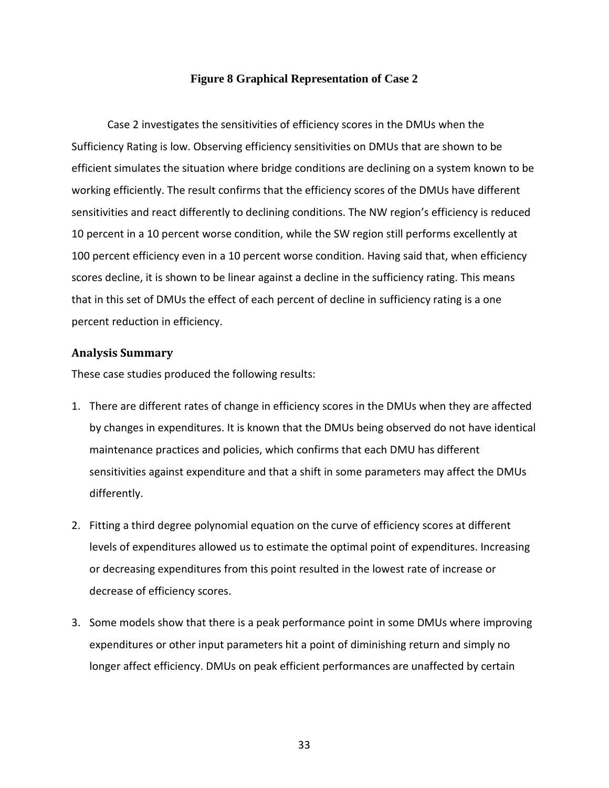#### **Figure 8 Graphical Representation of Case 2**

<span id="page-32-1"></span>Case 2 investigates the sensitivities of efficiency scores in the DMUs when the Sufficiency Rating is low. Observing efficiency sensitivities on DMUs that are shown to be efficient simulates the situation where bridge conditions are declining on a system known to be working efficiently. The result confirms that the efficiency scores of the DMUs have different sensitivities and react differently to declining conditions. The NW region's efficiency is reduced 10 percent in a 10 percent worse condition, while the SW region still performs excellently at 100 percent efficiency even in a 10 percent worse condition. Having said that, when efficiency scores decline, it is shown to be linear against a decline in the sufficiency rating. This means that in this set of DMUs the effect of each percent of decline in sufficiency rating is a one percent reduction in efficiency.

#### <span id="page-32-0"></span>**Analysis Summary**

These case studies produced the following results:

- 1. There are different rates of change in efficiency scores in the DMUs when they are affected by changes in expenditures. It is known that the DMUs being observed do not have identical maintenance practices and policies, which confirms that each DMU has different sensitivities against expenditure and that a shift in some parameters may affect the DMUs differently.
- 2. Fitting a third degree polynomial equation on the curve of efficiency scores at different levels of expenditures allowed us to estimate the optimal point of expenditures. Increasing or decreasing expenditures from this point resulted in the lowest rate of increase or decrease of efficiency scores.
- 3. Some models show that there is a peak performance point in some DMUs where improving expenditures or other input parameters hit a point of diminishing return and simply no longer affect efficiency. DMUs on peak efficient performances are unaffected by certain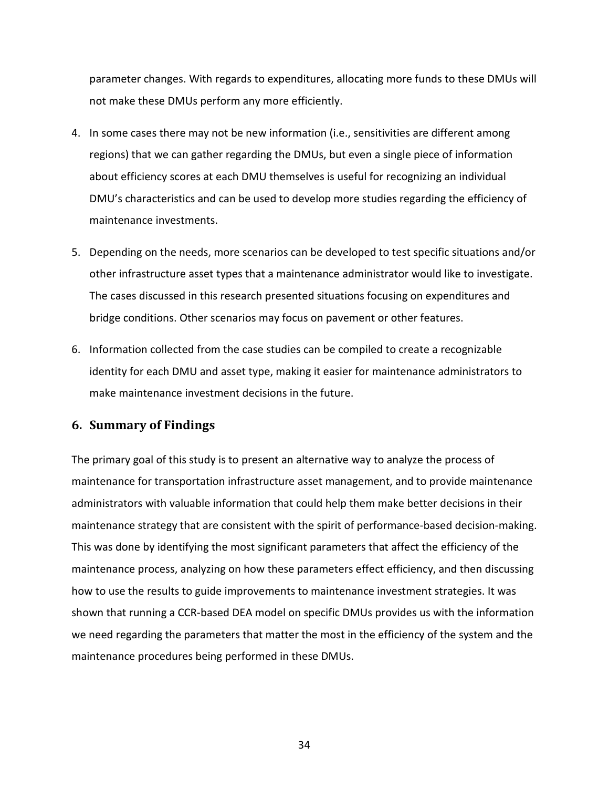parameter changes. With regards to expenditures, allocating more funds to these DMUs will not make these DMUs perform any more efficiently.

- 4. In some cases there may not be new information (i.e., sensitivities are different among regions) that we can gather regarding the DMUs, but even a single piece of information about efficiency scores at each DMU themselves is useful for recognizing an individual DMU's characteristics and can be used to develop more studies regarding the efficiency of maintenance investments.
- 5. Depending on the needs, more scenarios can be developed to test specific situations and/or other infrastructure asset types that a maintenance administrator would like to investigate. The cases discussed in this research presented situations focusing on expenditures and bridge conditions. Other scenarios may focus on pavement or other features.
- 6. Information collected from the case studies can be compiled to create a recognizable identity for each DMU and asset type, making it easier for maintenance administrators to make maintenance investment decisions in the future.

#### <span id="page-33-0"></span>**6. Summary of Findings**

The primary goal of this study is to present an alternative way to analyze the process of maintenance for transportation infrastructure asset management, and to provide maintenance administrators with valuable information that could help them make better decisions in their maintenance strategy that are consistent with the spirit of performance-based decision-making. This was done by identifying the most significant parameters that affect the efficiency of the maintenance process, analyzing on how these parameters effect efficiency, and then discussing how to use the results to guide improvements to maintenance investment strategies. It was shown that running a CCR-based DEA model on specific DMUs provides us with the information we need regarding the parameters that matter the most in the efficiency of the system and the maintenance procedures being performed in these DMUs.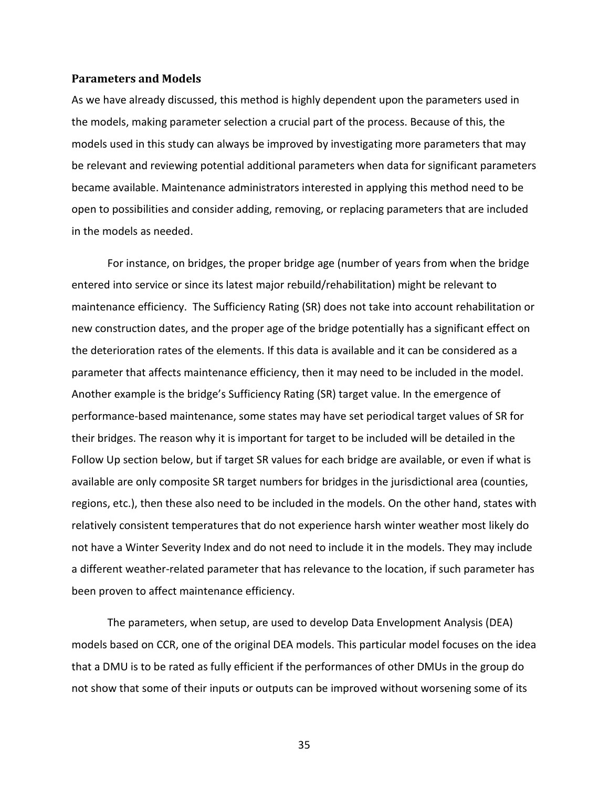#### <span id="page-34-0"></span>**Parameters and Models**

As we have already discussed, this method is highly dependent upon the parameters used in the models, making parameter selection a crucial part of the process. Because of this, the models used in this study can always be improved by investigating more parameters that may be relevant and reviewing potential additional parameters when data for significant parameters became available. Maintenance administrators interested in applying this method need to be open to possibilities and consider adding, removing, or replacing parameters that are included in the models as needed.

For instance, on bridges, the proper bridge age (number of years from when the bridge entered into service or since its latest major rebuild/rehabilitation) might be relevant to maintenance efficiency. The Sufficiency Rating (SR) does not take into account rehabilitation or new construction dates, and the proper age of the bridge potentially has a significant effect on the deterioration rates of the elements. If this data is available and it can be considered as a parameter that affects maintenance efficiency, then it may need to be included in the model. Another example is the bridge's Sufficiency Rating (SR) target value. In the emergence of performance-based maintenance, some states may have set periodical target values of SR for their bridges. The reason why it is important for target to be included will be detailed in the Follow Up section below, but if target SR values for each bridge are available, or even if what is available are only composite SR target numbers for bridges in the jurisdictional area (counties, regions, etc.), then these also need to be included in the models. On the other hand, states with relatively consistent temperatures that do not experience harsh winter weather most likely do not have a Winter Severity Index and do not need to include it in the models. They may include a different weather-related parameter that has relevance to the location, if such parameter has been proven to affect maintenance efficiency.

The parameters, when setup, are used to develop Data Envelopment Analysis (DEA) models based on CCR, one of the original DEA models. This particular model focuses on the idea that a DMU is to be rated as fully efficient if the performances of other DMUs in the group do not show that some of their inputs or outputs can be improved without worsening some of its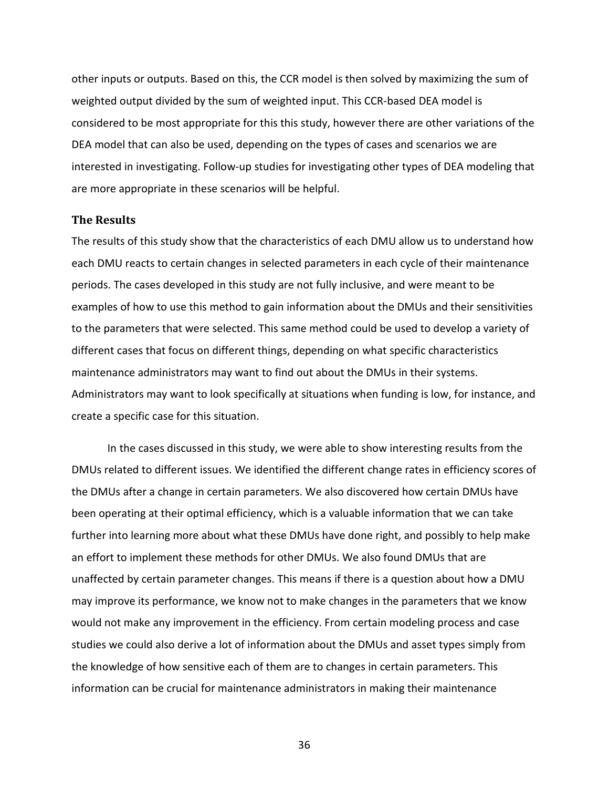other inputs or outputs. Based on this, the CCR model is then solved by maximizing the sum of weighted output divided by the sum of weighted input. This CCR-based DEA model is considered to be most appropriate for this this study, however there are other variations of the DEA model that can also be used, depending on the types of cases and scenarios we are interested in investigating. Follow-up studies for investigating other types of DEA modeling that are more appropriate in these scenarios will be helpful.

#### <span id="page-35-0"></span>**The Results**

The results of this study show that the characteristics of each DMU allow us to understand how each DMU reacts to certain changes in selected parameters in each cycle of their maintenance periods. The cases developed in this study are not fully inclusive, and were meant to be examples of how to use this method to gain information about the DMUs and their sensitivities to the parameters that were selected. This same method could be used to develop a variety of different cases that focus on different things, depending on what specific characteristics maintenance administrators may want to find out about the DMUs in their systems. Administrators may want to look specifically at situations when funding is low, for instance, and create a specific case for this situation.

In the cases discussed in this study, we were able to show interesting results from the DMUs related to different issues. We identified the different change rates in efficiency scores of the DMUs after a change in certain parameters. We also discovered how certain DMUs have been operating at their optimal efficiency, which is a valuable information that we can take further into learning more about what these DMUs have done right, and possibly to help make an effort to implement these methods for other DMUs. We also found DMUs that are unaffected by certain parameter changes. This means if there is a question about how a DMU may improve its performance, we know not to make changes in the parameters that we know would not make any improvement in the efficiency. From certain modeling process and case studies we could also derive a lot of information about the DMUs and asset types simply from the knowledge of how sensitive each of them are to changes in certain parameters. This information can be crucial for maintenance administrators in making their maintenance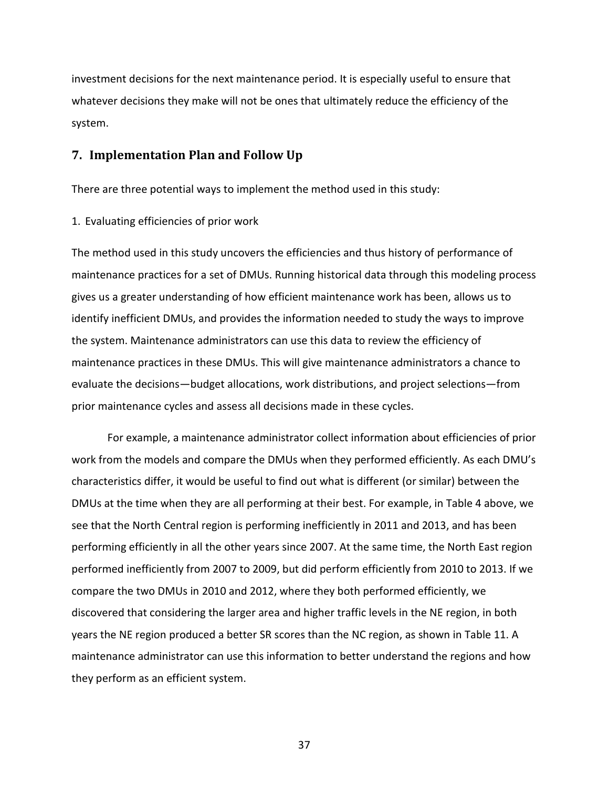investment decisions for the next maintenance period. It is especially useful to ensure that whatever decisions they make will not be ones that ultimately reduce the efficiency of the system.

#### <span id="page-36-0"></span>**7. Implementation Plan and Follow Up**

There are three potential ways to implement the method used in this study:

1. Evaluating efficiencies of prior work

The method used in this study uncovers the efficiencies and thus history of performance of maintenance practices for a set of DMUs. Running historical data through this modeling process gives us a greater understanding of how efficient maintenance work has been, allows us to identify inefficient DMUs, and provides the information needed to study the ways to improve the system. Maintenance administrators can use this data to review the efficiency of maintenance practices in these DMUs. This will give maintenance administrators a chance to evaluate the decisions—budget allocations, work distributions, and project selections—from prior maintenance cycles and assess all decisions made in these cycles.

For example, a maintenance administrator collect information about efficiencies of prior work from the models and compare the DMUs when they performed efficiently. As each DMU's characteristics differ, it would be useful to find out what is different (or similar) between the DMUs at the time when they are all performing at their best. For example, in Table 4 above, we see that the North Central region is performing inefficiently in 2011 and 2013, and has been performing efficiently in all the other years since 2007. At the same time, the North East region performed inefficiently from 2007 to 2009, but did perform efficiently from 2010 to 2013. If we compare the two DMUs in 2010 and 2012, where they both performed efficiently, we discovered that considering the larger area and higher traffic levels in the NE region, in both years the NE region produced a better SR scores than the NC region, as shown in Table 11. A maintenance administrator can use this information to better understand the regions and how they perform as an efficient system.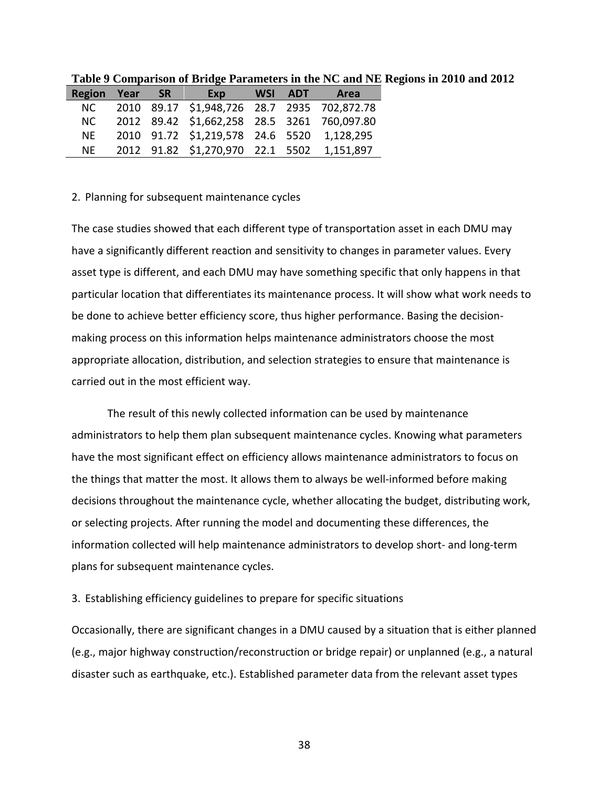| <b>Region Year</b> | $-$ SR $-$ | Exp                                         | WSI ADT | Area      |
|--------------------|------------|---------------------------------------------|---------|-----------|
| NC.                |            | 2010 89.17 \$1,948,726 28.7 2935 702,872.78 |         |           |
| NC.                |            | 2012 89.42 \$1,662,258 28.5 3261 760,097.80 |         |           |
| NF.                |            | 2010 91.72 \$1,219,578 24.6 5520 1,128,295  |         |           |
| NF.                |            | 2012 91.82 \$1,270,970 22.1 5502            |         | 1,151,897 |

<span id="page-37-0"></span>**Table 9 Comparison of Bridge Parameters in the NC and NE Regions in 2010 and 2012**

#### 2. Planning for subsequent maintenance cycles

The case studies showed that each different type of transportation asset in each DMU may have a significantly different reaction and sensitivity to changes in parameter values. Every asset type is different, and each DMU may have something specific that only happens in that particular location that differentiates its maintenance process. It will show what work needs to be done to achieve better efficiency score, thus higher performance. Basing the decisionmaking process on this information helps maintenance administrators choose the most appropriate allocation, distribution, and selection strategies to ensure that maintenance is carried out in the most efficient way.

The result of this newly collected information can be used by maintenance administrators to help them plan subsequent maintenance cycles. Knowing what parameters have the most significant effect on efficiency allows maintenance administrators to focus on the things that matter the most. It allows them to always be well-informed before making decisions throughout the maintenance cycle, whether allocating the budget, distributing work, or selecting projects. After running the model and documenting these differences, the information collected will help maintenance administrators to develop short- and long-term plans for subsequent maintenance cycles.

#### 3. Establishing efficiency guidelines to prepare for specific situations

Occasionally, there are significant changes in a DMU caused by a situation that is either planned (e.g., major highway construction/reconstruction or bridge repair) or unplanned (e.g., a natural disaster such as earthquake, etc.). Established parameter data from the relevant asset types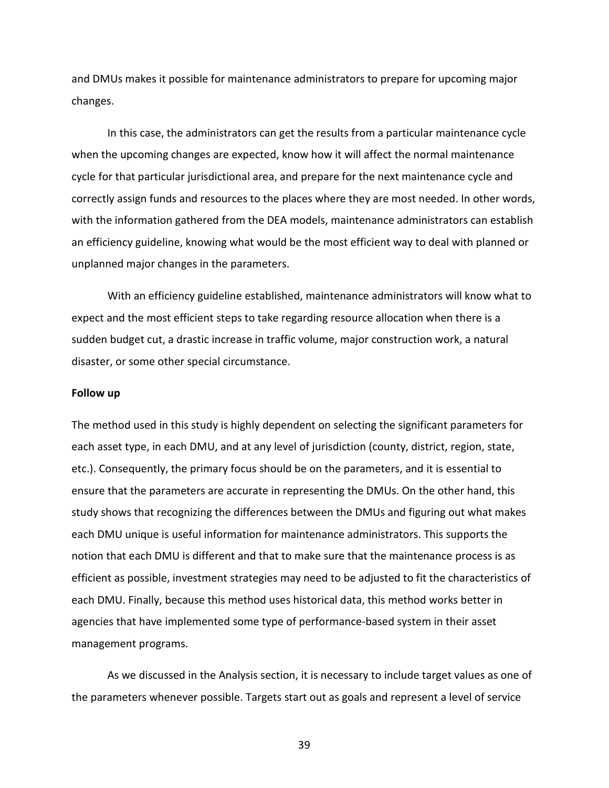and DMUs makes it possible for maintenance administrators to prepare for upcoming major changes.

In this case, the administrators can get the results from a particular maintenance cycle when the upcoming changes are expected, know how it will affect the normal maintenance cycle for that particular jurisdictional area, and prepare for the next maintenance cycle and correctly assign funds and resources to the places where they are most needed. In other words, with the information gathered from the DEA models, maintenance administrators can establish an efficiency guideline, knowing what would be the most efficient way to deal with planned or unplanned major changes in the parameters.

With an efficiency guideline established, maintenance administrators will know what to expect and the most efficient steps to take regarding resource allocation when there is a sudden budget cut, a drastic increase in traffic volume, major construction work, a natural disaster, or some other special circumstance.

#### **Follow up**

The method used in this study is highly dependent on selecting the significant parameters for each asset type, in each DMU, and at any level of jurisdiction (county, district, region, state, etc.). Consequently, the primary focus should be on the parameters, and it is essential to ensure that the parameters are accurate in representing the DMUs. On the other hand, this study shows that recognizing the differences between the DMUs and figuring out what makes each DMU unique is useful information for maintenance administrators. This supports the notion that each DMU is different and that to make sure that the maintenance process is as efficient as possible, investment strategies may need to be adjusted to fit the characteristics of each DMU. Finally, because this method uses historical data, this method works better in agencies that have implemented some type of performance-based system in their asset management programs.

As we discussed in the Analysis section, it is necessary to include target values as one of the parameters whenever possible. Targets start out as goals and represent a level of service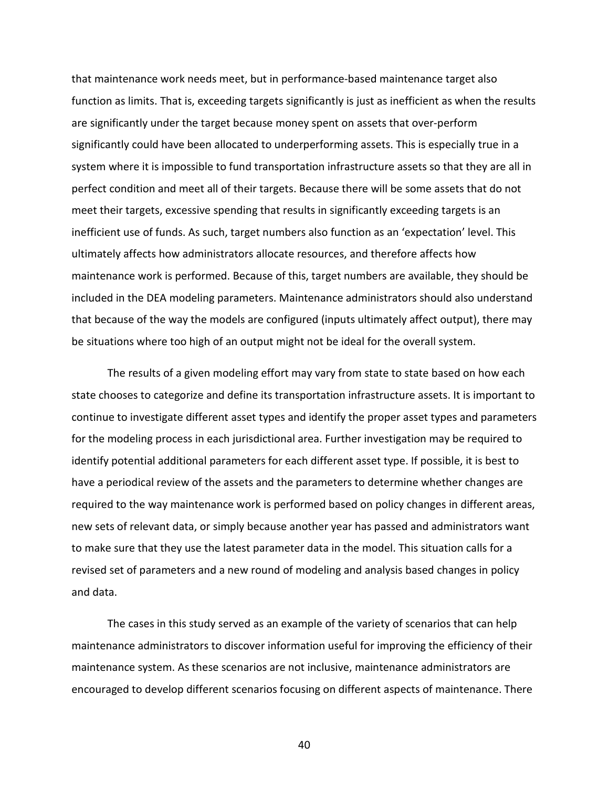that maintenance work needs meet, but in performance-based maintenance target also function as limits. That is, exceeding targets significantly is just as inefficient as when the results are significantly under the target because money spent on assets that over-perform significantly could have been allocated to underperforming assets. This is especially true in a system where it is impossible to fund transportation infrastructure assets so that they are all in perfect condition and meet all of their targets. Because there will be some assets that do not meet their targets, excessive spending that results in significantly exceeding targets is an inefficient use of funds. As such, target numbers also function as an 'expectation' level. This ultimately affects how administrators allocate resources, and therefore affects how maintenance work is performed. Because of this, target numbers are available, they should be included in the DEA modeling parameters. Maintenance administrators should also understand that because of the way the models are configured (inputs ultimately affect output), there may be situations where too high of an output might not be ideal for the overall system.

The results of a given modeling effort may vary from state to state based on how each state chooses to categorize and define its transportation infrastructure assets. It is important to continue to investigate different asset types and identify the proper asset types and parameters for the modeling process in each jurisdictional area. Further investigation may be required to identify potential additional parameters for each different asset type. If possible, it is best to have a periodical review of the assets and the parameters to determine whether changes are required to the way maintenance work is performed based on policy changes in different areas, new sets of relevant data, or simply because another year has passed and administrators want to make sure that they use the latest parameter data in the model. This situation calls for a revised set of parameters and a new round of modeling and analysis based changes in policy and data.

The cases in this study served as an example of the variety of scenarios that can help maintenance administrators to discover information useful for improving the efficiency of their maintenance system. As these scenarios are not inclusive, maintenance administrators are encouraged to develop different scenarios focusing on different aspects of maintenance. There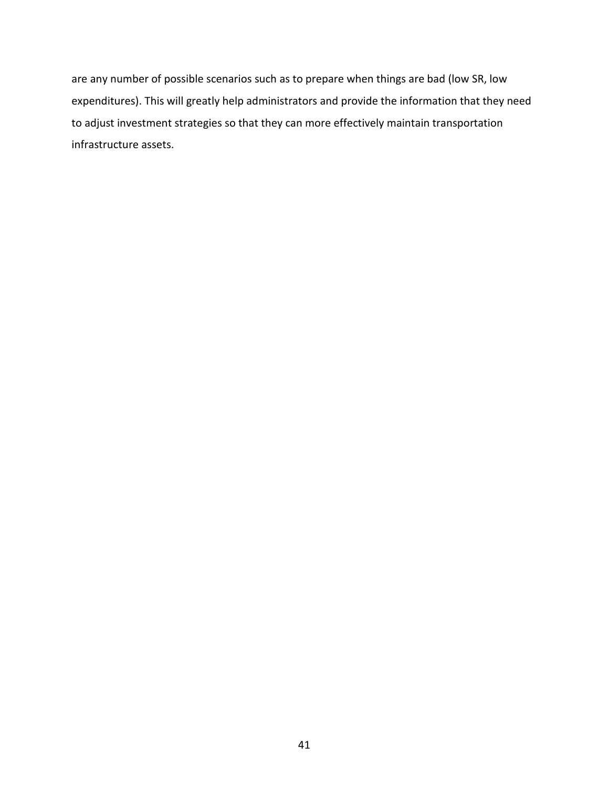are any number of possible scenarios such as to prepare when things are bad (low SR, low expenditures). This will greatly help administrators and provide the information that they need to adjust investment strategies so that they can more effectively maintain transportation infrastructure assets.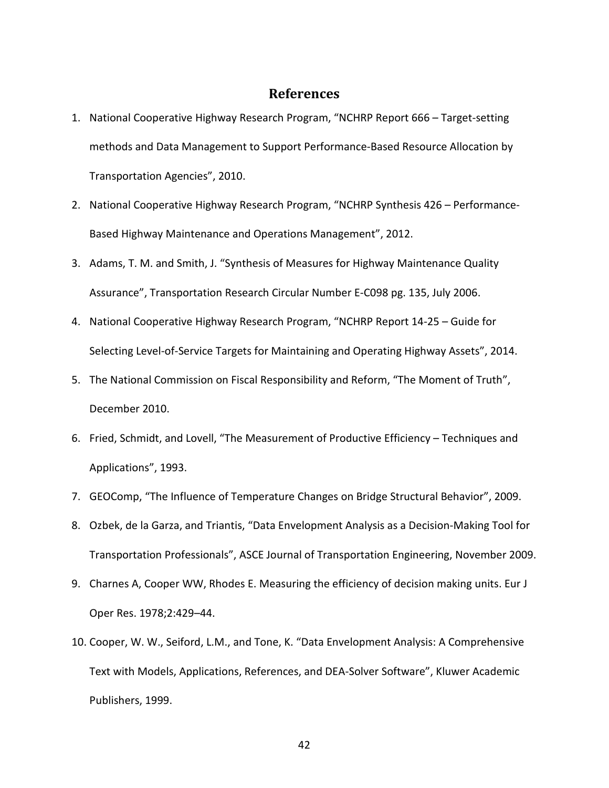#### **References**

- <span id="page-41-0"></span>1. National Cooperative Highway Research Program, "NCHRP Report 666 – Target-setting methods and Data Management to Support Performance-Based Resource Allocation by Transportation Agencies", 2010.
- 2. National Cooperative Highway Research Program, "NCHRP Synthesis 426 Performance-Based Highway Maintenance and Operations Management", 2012.
- 3. Adams, T. M. and Smith, J. "Synthesis of Measures for Highway Maintenance Quality Assurance", Transportation Research Circular Number E-C098 pg. 135, July 2006.
- 4. National Cooperative Highway Research Program, "NCHRP Report 14-25 Guide for Selecting Level-of-Service Targets for Maintaining and Operating Highway Assets", 2014.
- 5. The National Commission on Fiscal Responsibility and Reform, "The Moment of Truth", December 2010.
- 6. Fried, Schmidt, and Lovell, "The Measurement of Productive Efficiency Techniques and Applications", 1993.
- 7. GEOComp, "The Influence of Temperature Changes on Bridge Structural Behavior", 2009.
- 8. Ozbek, de la Garza, and Triantis, "Data Envelopment Analysis as a Decision-Making Tool for Transportation Professionals", ASCE Journal of Transportation Engineering, November 2009.
- 9. Charnes A, Cooper WW, Rhodes E. Measuring the efficiency of decision making units. Eur J Oper Res. 1978;2:429–44.
- 10. Cooper, W. W., Seiford, L.M., and Tone, K. "Data Envelopment Analysis: A Comprehensive Text with Models, Applications, References, and DEA-Solver Software", Kluwer Academic Publishers, 1999.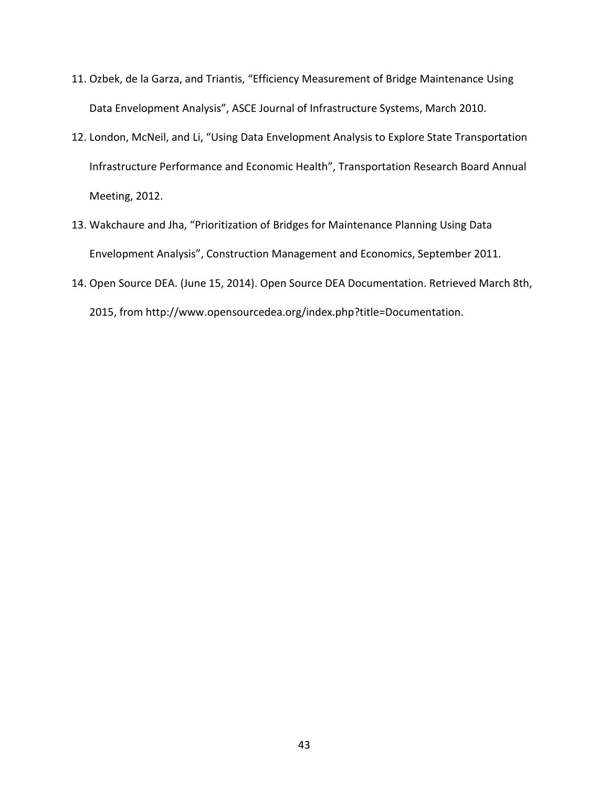- 11. Ozbek, de la Garza, and Triantis, "Efficiency Measurement of Bridge Maintenance Using Data Envelopment Analysis", ASCE Journal of Infrastructure Systems, March 2010.
- 12. London, McNeil, and Li, "Using Data Envelopment Analysis to Explore State Transportation Infrastructure Performance and Economic Health", Transportation Research Board Annual Meeting, 2012.
- 13. Wakchaure and Jha, "Prioritization of Bridges for Maintenance Planning Using Data Envelopment Analysis", Construction Management and Economics, September 2011.
- 14. Open Source DEA. (June 15, 2014). Open Source DEA Documentation. Retrieved March 8th, 2015, from http://www.opensourcedea.org/index.php?title=Documentation.